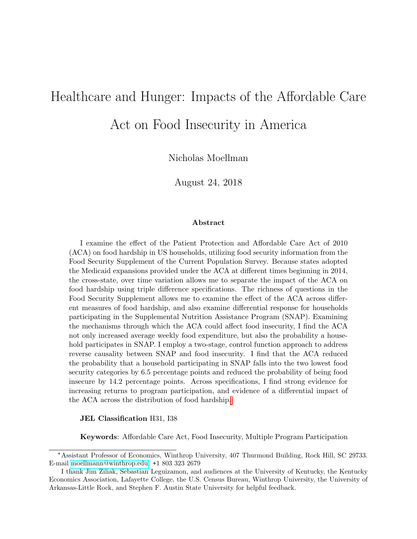# Healthcare and Hunger: Impacts of the Affordable Care

Act on Food Insecurity in America

Nicholas Moellman

August 24, 2018

#### Abstract

I examine the effect of the Patient Protection and Affordable Care Act of 2010 (ACA) on food hardship in US households, utilizing food security information from the Food Security Supplement of the Current Population Survey. Because states adopted the Medicaid expansions provided under the ACA at different times beginning in 2014, the cross-state, over time variation allows me to separate the impact of the ACA on food hardship using triple difference specifications. The richness of questions in the Food Security Supplement allows me to examine the effect of the ACA across different measures of food hardship, and also examine differential response for households participating in the Supplemental Nutrition Assistance Program (SNAP). Examining the mechanisms through which the ACA could affect food insecurity, I find the ACA not only increased average weekly food expenditure, but also the probability a household participates in SNAP. I employ a two-stage, control function approach to address reverse causality between SNAP and food insecurity. I find that the ACA reduced the probability that a household participating in SNAP falls into the two lowest food security categories by 6.5 percentage points and reduced the probability of being food insecure by 14.2 percentage points. Across specifications, I find strong evidence for increasing returns to program participation, and evidence of a differential impact of the ACA across the distribution of food hardship[.](#page-0-0)

#### JEL Classification H31, I38

Keywords: Affordable Care Act, Food Insecurity, Multiple Program Participation

<sup>\*</sup>Assistant Professor of Economics, Winthrop University, 407 Thurmond Building, Rock Hill, SC 29733. E-mail [moellmann@winthrop.edu.](mailto:moellmann@winthrop.edu) +1 803 323 2679

<span id="page-0-0"></span>I thank Jim Ziliak, Sebastian Leguizamon, and audiences at the University of Kentucky, the Kentucky Economics Association, Lafayette College, the U.S. Census Bureau, Winthrop University, the University of Arkansas-Little Rock, and Stephen F. Austin State University for helpful feedback.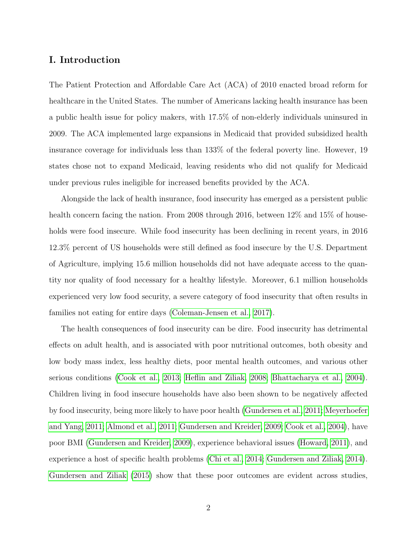# I. Introduction

The Patient Protection and Affordable Care Act (ACA) of 2010 enacted broad reform for healthcare in the United States. The number of Americans lacking health insurance has been a public health issue for policy makers, with 17.5% of non-elderly individuals uninsured in 2009. The ACA implemented large expansions in Medicaid that provided subsidized health insurance coverage for individuals less than 133% of the federal poverty line. However, 19 states chose not to expand Medicaid, leaving residents who did not qualify for Medicaid under previous rules ineligible for increased benefits provided by the ACA.

Alongside the lack of health insurance, food insecurity has emerged as a persistent public health concern facing the nation. From 2008 through 2016, between 12% and 15% of households were food insecure. While food insecurity has been declining in recent years, in 2016 12.3% percent of US households were still defined as food insecure by the U.S. Department of Agriculture, implying 15.6 million households did not have adequate access to the quantity nor quality of food necessary for a healthy lifestyle. Moreover, 6.1 million households experienced very low food security, a severe category of food insecurity that often results in families not eating for entire days [\(Coleman-Jensen et al., 2017\)](#page-32-0).

The health consequences of food insecurity can be dire. Food insecurity has detrimental effects on adult health, and is associated with poor nutritional outcomes, both obesity and low body mass index, less healthy diets, poor mental health outcomes, and various other serious conditions [\(Cook et al., 2013;](#page-32-1) [Heflin and Ziliak, 2008;](#page-34-0) [Bhattacharya et al., 2004\)](#page-31-0). Children living in food insecure households have also been shown to be negatively affected by food insecurity, being more likely to have poor health [\(Gundersen et al., 2011;](#page-33-0) [Meyerhoefer](#page-34-1) [and Yang, 2011;](#page-34-1) [Almond et al., 2011;](#page-31-1) [Gundersen and Kreider, 2009;](#page-33-1) [Cook et al., 2004\)](#page-32-2), have poor BMI [\(Gundersen and Kreider, 2009\)](#page-33-1), experience behavioral issues [\(Howard, 2011\)](#page-34-2), and experience a host of specific health problems [\(Chi et al., 2014;](#page-32-3) [Gundersen and Ziliak, 2014\)](#page-33-2). [Gundersen and Ziliak \(2015\)](#page-33-3) show that these poor outcomes are evident across studies,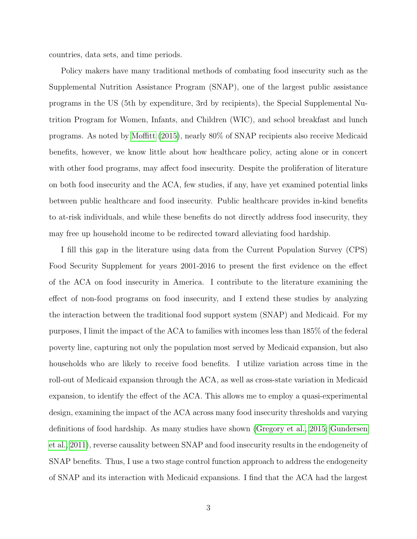countries, data sets, and time periods.

Policy makers have many traditional methods of combating food insecurity such as the Supplemental Nutrition Assistance Program (SNAP), one of the largest public assistance programs in the US (5th by expenditure, 3rd by recipients), the Special Supplemental Nutrition Program for Women, Infants, and Children (WIC), and school breakfast and lunch programs. As noted by [Moffitt \(2015\)](#page-34-3), nearly 80% of SNAP recipients also receive Medicaid benefits, however, we know little about how healthcare policy, acting alone or in concert with other food programs, may affect food insecurity. Despite the proliferation of literature on both food insecurity and the ACA, few studies, if any, have yet examined potential links between public healthcare and food insecurity. Public healthcare provides in-kind benefits to at-risk individuals, and while these benefits do not directly address food insecurity, they may free up household income to be redirected toward alleviating food hardship.

I fill this gap in the literature using data from the Current Population Survey (CPS) Food Security Supplement for years 2001-2016 to present the first evidence on the effect of the ACA on food insecurity in America. I contribute to the literature examining the effect of non-food programs on food insecurity, and I extend these studies by analyzing the interaction between the traditional food support system (SNAP) and Medicaid. For my purposes, I limit the impact of the ACA to families with incomes less than 185% of the federal poverty line, capturing not only the population most served by Medicaid expansion, but also households who are likely to receive food benefits. I utilize variation across time in the roll-out of Medicaid expansion through the ACA, as well as cross-state variation in Medicaid expansion, to identify the effect of the ACA. This allows me to employ a quasi-experimental design, examining the impact of the ACA across many food insecurity thresholds and varying definitions of food hardship. As many studies have shown [\(Gregory et al., 2015;](#page-33-4) [Gundersen](#page-33-0) [et al., 2011\)](#page-33-0), reverse causality between SNAP and food insecurity results in the endogeneity of SNAP benefits. Thus, I use a two stage control function approach to address the endogeneity of SNAP and its interaction with Medicaid expansions. I find that the ACA had the largest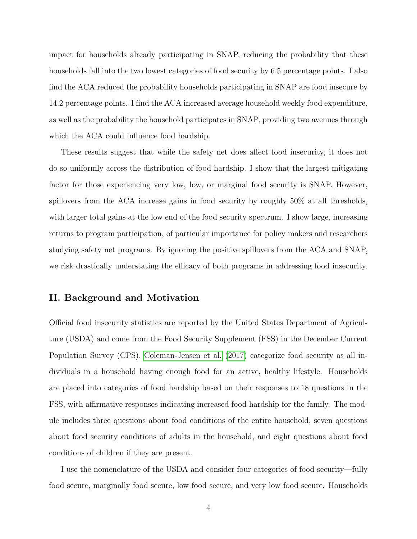impact for households already participating in SNAP, reducing the probability that these households fall into the two lowest categories of food security by 6.5 percentage points. I also find the ACA reduced the probability households participating in SNAP are food insecure by 14.2 percentage points. I find the ACA increased average household weekly food expenditure, as well as the probability the household participates in SNAP, providing two avenues through which the ACA could influence food hardship.

These results suggest that while the safety net does affect food insecurity, it does not do so uniformly across the distribution of food hardship. I show that the largest mitigating factor for those experiencing very low, low, or marginal food security is SNAP. However, spillovers from the ACA increase gains in food security by roughly 50% at all thresholds, with larger total gains at the low end of the food security spectrum. I show large, increasing returns to program participation, of particular importance for policy makers and researchers studying safety net programs. By ignoring the positive spillovers from the ACA and SNAP, we risk drastically understating the efficacy of both programs in addressing food insecurity.

# II. Background and Motivation

Official food insecurity statistics are reported by the United States Department of Agriculture (USDA) and come from the Food Security Supplement (FSS) in the December Current Population Survey (CPS). [Coleman-Jensen et al. \(2017\)](#page-32-0) categorize food security as all individuals in a household having enough food for an active, healthy lifestyle. Households are placed into categories of food hardship based on their responses to 18 questions in the FSS, with affirmative responses indicating increased food hardship for the family. The module includes three questions about food conditions of the entire household, seven questions about food security conditions of adults in the household, and eight questions about food conditions of children if they are present.

I use the nomenclature of the USDA and consider four categories of food security—fully food secure, marginally food secure, low food secure, and very low food secure. Households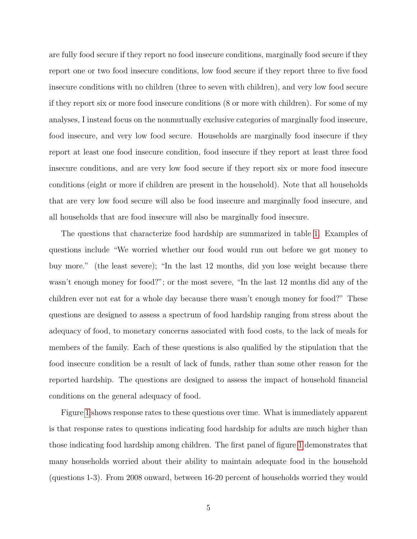are fully food secure if they report no food insecure conditions, marginally food secure if they report one or two food insecure conditions, low food secure if they report three to five food insecure conditions with no children (three to seven with children), and very low food secure if they report six or more food insecure conditions (8 or more with children). For some of my analyses, I instead focus on the nonmutually exclusive categories of marginally food insecure, food insecure, and very low food secure. Households are marginally food insecure if they report at least one food insecure condition, food insecure if they report at least three food insecure conditions, and are very low food secure if they report six or more food insecure conditions (eight or more if children are present in the household). Note that all households that are very low food secure will also be food insecure and marginally food insecure, and all households that are food insecure will also be marginally food insecure.

The questions that characterize food hardship are summarized in table [1.](#page-45-0) Examples of questions include "We worried whether our food would run out before we got money to buy more." (the least severe); "In the last 12 months, did you lose weight because there wasn't enough money for food?"; or the most severe, "In the last 12 months did any of the children ever not eat for a whole day because there wasn't enough money for food?" These questions are designed to assess a spectrum of food hardship ranging from stress about the adequacy of food, to monetary concerns associated with food costs, to the lack of meals for members of the family. Each of these questions is also qualified by the stipulation that the food insecure condition be a result of lack of funds, rather than some other reason for the reported hardship. The questions are designed to assess the impact of household financial conditions on the general adequacy of food.

Figure [1](#page-36-0) shows response rates to these questions over time. What is immediately apparent is that response rates to questions indicating food hardship for adults are much higher than those indicating food hardship among children. The first panel of figure [1](#page-36-0) demonstrates that many households worried about their ability to maintain adequate food in the household (questions 1-3). From 2008 onward, between 16-20 percent of households worried they would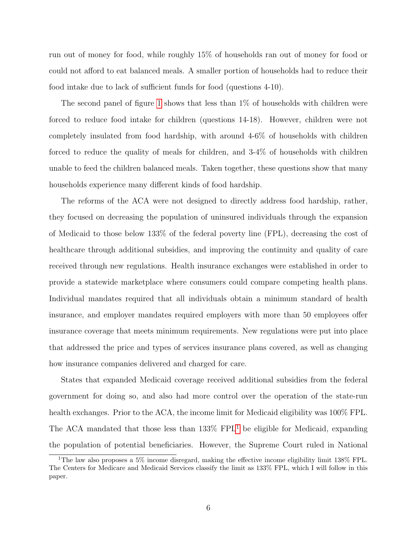run out of money for food, while roughly 15% of households ran out of money for food or could not afford to eat balanced meals. A smaller portion of households had to reduce their food intake due to lack of sufficient funds for food (questions 4-10).

The second panel of figure [1](#page-36-0) shows that less than 1% of households with children were forced to reduce food intake for children (questions 14-18). However, children were not completely insulated from food hardship, with around 4-6% of households with children forced to reduce the quality of meals for children, and 3-4% of households with children unable to feed the children balanced meals. Taken together, these questions show that many households experience many different kinds of food hardship.

The reforms of the ACA were not designed to directly address food hardship, rather, they focused on decreasing the population of uninsured individuals through the expansion of Medicaid to those below 133% of the federal poverty line (FPL), decreasing the cost of healthcare through additional subsidies, and improving the continuity and quality of care received through new regulations. Health insurance exchanges were established in order to provide a statewide marketplace where consumers could compare competing health plans. Individual mandates required that all individuals obtain a minimum standard of health insurance, and employer mandates required employers with more than 50 employees offer insurance coverage that meets minimum requirements. New regulations were put into place that addressed the price and types of services insurance plans covered, as well as changing how insurance companies delivered and charged for care.

States that expanded Medicaid coverage received additional subsidies from the federal government for doing so, and also had more control over the operation of the state-run health exchanges. Prior to the ACA, the income limit for Medicaid eligibility was 100% FPL. The ACA mandated that those less than 133% FPL[1](#page-5-0) be eligible for Medicaid, expanding the population of potential beneficiaries. However, the Supreme Court ruled in National

<span id="page-5-0"></span><sup>1</sup>The law also proposes a 5% income disregard, making the effective income eligibility limit 138% FPL. The Centers for Medicare and Medicaid Services classify the limit as 133% FPL, which I will follow in this paper.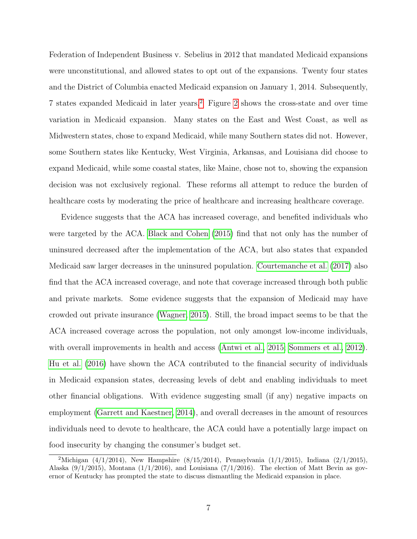Federation of Independent Business v. Sebelius in 2012 that mandated Medicaid expansions were unconstitutional, and allowed states to opt out of the expansions. Twenty four states and the District of Columbia enacted Medicaid expansion on January 1, 2014. Subsequently, 7 states expanded Medicaid in later years.[2](#page-6-0) Figure [2](#page-37-0) shows the cross-state and over time variation in Medicaid expansion. Many states on the East and West Coast, as well as Midwestern states, chose to expand Medicaid, while many Southern states did not. However, some Southern states like Kentucky, West Virginia, Arkansas, and Louisiana did choose to expand Medicaid, while some coastal states, like Maine, chose not to, showing the expansion decision was not exclusively regional. These reforms all attempt to reduce the burden of healthcare costs by moderating the price of healthcare and increasing healthcare coverage.

Evidence suggests that the ACA has increased coverage, and benefited individuals who were targeted by the ACA. [Black and Cohen \(2015\)](#page-31-2) find that not only has the number of uninsured decreased after the implementation of the ACA, but also states that expanded Medicaid saw larger decreases in the uninsured population. [Courtemanche et al. \(2017\)](#page-32-4) also find that the ACA increased coverage, and note that coverage increased through both public and private markets. Some evidence suggests that the expansion of Medicaid may have crowded out private insurance [\(Wagner, 2015\)](#page-35-0). Still, the broad impact seems to be that the ACA increased coverage across the population, not only amongst low-income individuals, with overall improvements in health and access [\(Antwi et al., 2015;](#page-31-3) [Sommers et al., 2012\)](#page-35-1). [Hu et al. \(2016\)](#page-34-4) have shown the ACA contributed to the financial security of individuals in Medicaid expansion states, decreasing levels of debt and enabling individuals to meet other financial obligations. With evidence suggesting small (if any) negative impacts on employment [\(Garrett and Kaestner, 2014\)](#page-33-5), and overall decreases in the amount of resources individuals need to devote to healthcare, the ACA could have a potentially large impact on food insecurity by changing the consumer's budget set.

<span id="page-6-0"></span><sup>&</sup>lt;sup>2</sup>Michigan (4/1/2014), New Hampshire (8/15/2014), Pennsylvania (1/1/2015), Indiana (2/1/2015), Alaska  $(9/1/2015)$ , Montana  $(1/1/2016)$ , and Louisiana  $(7/1/2016)$ . The election of Matt Bevin as governor of Kentucky has prompted the state to discuss dismantling the Medicaid expansion in place.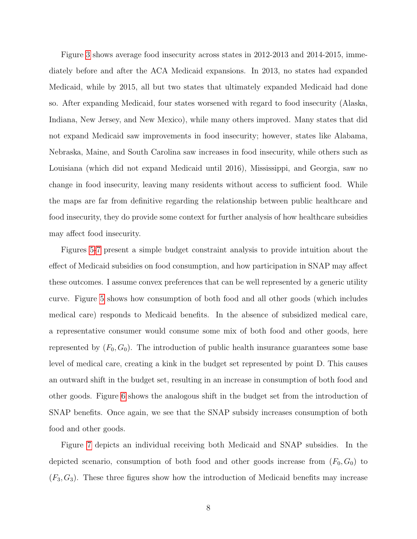Figure [3](#page-38-0) shows average food insecurity across states in 2012-2013 and 2014-2015, immediately before and after the ACA Medicaid expansions. In 2013, no states had expanded Medicaid, while by 2015, all but two states that ultimately expanded Medicaid had done so. After expanding Medicaid, four states worsened with regard to food insecurity (Alaska, Indiana, New Jersey, and New Mexico), while many others improved. Many states that did not expand Medicaid saw improvements in food insecurity; however, states like Alabama, Nebraska, Maine, and South Carolina saw increases in food insecurity, while others such as Louisiana (which did not expand Medicaid until 2016), Mississippi, and Georgia, saw no change in food insecurity, leaving many residents without access to sufficient food. While the maps are far from definitive regarding the relationship between public healthcare and food insecurity, they do provide some context for further analysis of how healthcare subsidies may affect food insecurity.

Figures [5-](#page-40-0)[7](#page-41-0) present a simple budget constraint analysis to provide intuition about the effect of Medicaid subsidies on food consumption, and how participation in SNAP may affect these outcomes. I assume convex preferences that can be well represented by a generic utility curve. Figure [5](#page-40-0) shows how consumption of both food and all other goods (which includes medical care) responds to Medicaid benefits. In the absence of subsidized medical care, a representative consumer would consume some mix of both food and other goods, here represented by  $(F_0, G_0)$ . The introduction of public health insurance guarantees some base level of medical care, creating a kink in the budget set represented by point D. This causes an outward shift in the budget set, resulting in an increase in consumption of both food and other goods. Figure [6](#page-40-1) shows the analogous shift in the budget set from the introduction of SNAP benefits. Once again, we see that the SNAP subsidy increases consumption of both food and other goods.

Figure [7](#page-41-0) depicts an individual receiving both Medicaid and SNAP subsidies. In the depicted scenario, consumption of both food and other goods increase from  $(F_0, G_0)$  to  $(F_3, G_3)$ . These three figures show how the introduction of Medicaid benefits may increase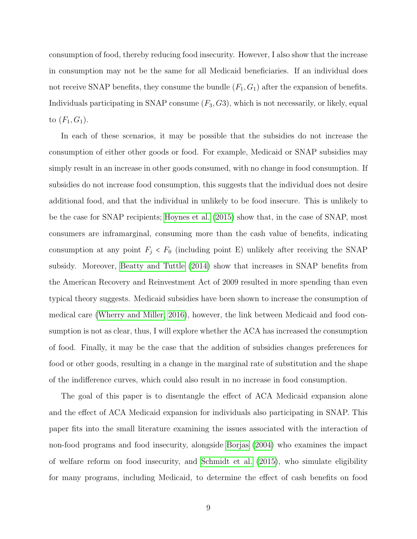consumption of food, thereby reducing food insecurity. However, I also show that the increase in consumption may not be the same for all Medicaid beneficiaries. If an individual does not receive SNAP benefits, they consume the bundle  $(F_1, G_1)$  after the expansion of benefits. Individuals participating in SNAP consume  $(F_3, G_3)$ , which is not necessarily, or likely, equal to  $(F_1, G_1)$ .

In each of these scenarios, it may be possible that the subsidies do not increase the consumption of either other goods or food. For example, Medicaid or SNAP subsidies may simply result in an increase in other goods consumed, with no change in food consumption. If subsidies do not increase food consumption, this suggests that the individual does not desire additional food, and that the individual in unlikely to be food insecure. This is unlikely to be the case for SNAP recipients; [Hoynes et al. \(2015\)](#page-34-5) show that, in the case of SNAP, most consumers are inframarginal, consuming more than the cash value of benefits, indicating consumption at any point  $F_j < F_0$  (including point E) unlikely after receiving the SNAP subsidy. Moreover, [Beatty and Tuttle \(2014\)](#page-31-4) show that increases in SNAP benefits from the American Recovery and Reinvestment Act of 2009 resulted in more spending than even typical theory suggests. Medicaid subsidies have been shown to increase the consumption of medical care [\(Wherry and Miller, 2016\)](#page-35-2), however, the link between Medicaid and food consumption is not as clear, thus, I will explore whether the ACA has increased the consumption of food. Finally, it may be the case that the addition of subsidies changes preferences for food or other goods, resulting in a change in the marginal rate of substitution and the shape of the indifference curves, which could also result in no increase in food consumption.

The goal of this paper is to disentangle the effect of ACA Medicaid expansion alone and the effect of ACA Medicaid expansion for individuals also participating in SNAP. This paper fits into the small literature examining the issues associated with the interaction of non-food programs and food insecurity, alongside [Borjas \(2004\)](#page-32-5) who examines the impact of welfare reform on food insecurity, and [Schmidt et al. \(2015\)](#page-35-3), who simulate eligibility for many programs, including Medicaid, to determine the effect of cash benefits on food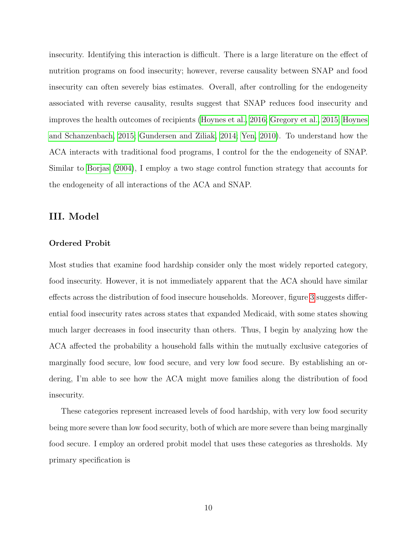insecurity. Identifying this interaction is difficult. There is a large literature on the effect of nutrition programs on food insecurity; however, reverse causality between SNAP and food insecurity can often severely bias estimates. Overall, after controlling for the endogeneity associated with reverse causality, results suggest that SNAP reduces food insecurity and improves the health outcomes of recipients [\(Hoynes et al., 2016;](#page-34-6) [Gregory et al., 2015;](#page-33-4) [Hoynes](#page-34-7) [and Schanzenbach, 2015;](#page-34-7) [Gundersen and Ziliak, 2014;](#page-33-2) [Yen, 2010\)](#page-35-4). To understand how the ACA interacts with traditional food programs, I control for the the endogeneity of SNAP. Similar to [Borjas \(2004\)](#page-32-5), I employ a two stage control function strategy that accounts for the endogeneity of all interactions of the ACA and SNAP.

# III. Model

#### Ordered Probit

Most studies that examine food hardship consider only the most widely reported category, food insecurity. However, it is not immediately apparent that the ACA should have similar effects across the distribution of food insecure households. Moreover, figure [3](#page-38-0) suggests differential food insecurity rates across states that expanded Medicaid, with some states showing much larger decreases in food insecurity than others. Thus, I begin by analyzing how the ACA affected the probability a household falls within the mutually exclusive categories of marginally food secure, low food secure, and very low food secure. By establishing an ordering, I'm able to see how the ACA might move families along the distribution of food insecurity.

These categories represent increased levels of food hardship, with very low food security being more severe than low food security, both of which are more severe than being marginally food secure. I employ an ordered probit model that uses these categories as thresholds. My primary specification is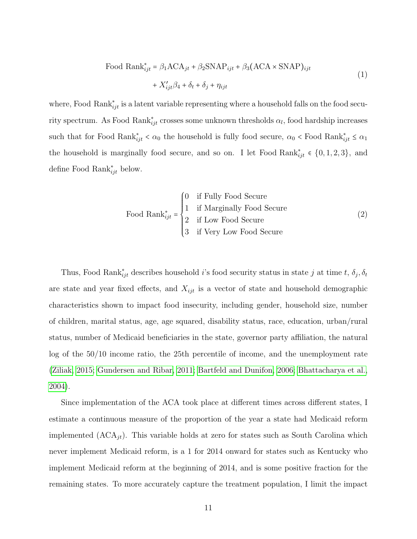Food Rank<sup>\*</sup><sub>ijt</sub> = 
$$
\beta_1
$$
ACA<sub>jt</sub> +  $\beta_2$ SNAP<sub>ijt</sub> +  $\beta_3$ (ACA × SNAP)<sub>ijt</sub>  
+  $X'_{ijt}\beta_4 + \delta_t + \delta_j + \eta_{ijt}$  (1)

where, Food Rank $_{ijt}^*$  is a latent variable representing where a household falls on the food security spectrum. As Food Rank $_{ijt}^*$  crosses some unknown thresholds  $\alpha_l$ , food hardship increases such that for Food Rank $_{ijt}^* < \alpha_0$  the household is fully food secure,  $\alpha_0 <$  Food Rank $_{ijt}^* \leq \alpha_1$ the household is marginally food secure, and so on. I let Food Rank<sub>ijt</sub>  $\in \{0, 1, 2, 3\}$ , and define Food  $\text{Rank}_{ijt}^*$  below.

Food Rank<sup>\*</sup><sub>ijt</sub> = 
$$
\begin{cases} 0 & \text{if Fully Food Secure} \\ 1 & \text{if Marginally Food Secure} \\ 2 & \text{if Low Food Secure} \\ 3 & \text{if Very Low Food Secure} \end{cases}
$$
 (2)

Thus, Food Rank $_{ijt}^*$  describes household i's food security status in state j at time t,  $\delta_j$ ,  $\delta_t$ are state and year fixed effects, and  $X_{ijt}$  is a vector of state and household demographic characteristics shown to impact food insecurity, including gender, household size, number of children, marital status, age, age squared, disability status, race, education, urban/rural status, number of Medicaid beneficiaries in the state, governor party affiliation, the natural log of the 50/10 income ratio, the 25th percentile of income, and the unemployment rate [\(Ziliak, 2015;](#page-35-5) [Gundersen and Ribar, 2011;](#page-33-6) [Bartfeld and Dunifon, 2006;](#page-31-5) [Bhattacharya et al.,](#page-31-0) [2004\)](#page-31-0).

Since implementation of the ACA took place at different times across different states, I estimate a continuous measure of the proportion of the year a state had Medicaid reform implemented  $(ACA_{it})$ . This variable holds at zero for states such as South Carolina which never implement Medicaid reform, is a 1 for 2014 onward for states such as Kentucky who implement Medicaid reform at the beginning of 2014, and is some positive fraction for the remaining states. To more accurately capture the treatment population, I limit the impact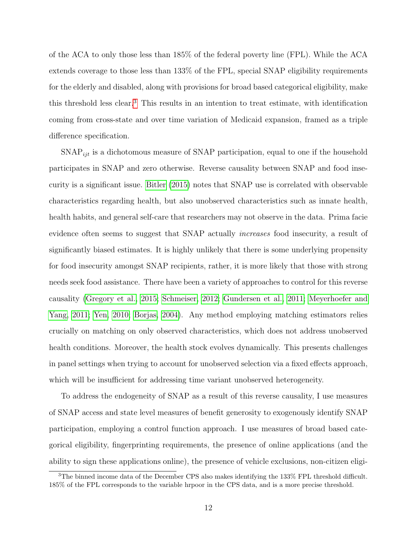of the ACA to only those less than 185% of the federal poverty line (FPL). While the ACA extends coverage to those less than 133% of the FPL, special SNAP eligibility requirements for the elderly and disabled, along with provisions for broad based categorical eligibility, make this threshold less clear.[3](#page-11-0) This results in an intention to treat estimate, with identification coming from cross-state and over time variation of Medicaid expansion, framed as a triple difference specification.

 $SNAP_{ijt}$  is a dichotomous measure of SNAP participation, equal to one if the household participates in SNAP and zero otherwise. Reverse causality between SNAP and food insecurity is a significant issue. [Bitler \(2015\)](#page-31-6) notes that SNAP use is correlated with observable characteristics regarding health, but also unobserved characteristics such as innate health, health habits, and general self-care that researchers may not observe in the data. Prima facie evidence often seems to suggest that SNAP actually increases food insecurity, a result of significantly biased estimates. It is highly unlikely that there is some underlying propensity for food insecurity amongst SNAP recipients, rather, it is more likely that those with strong needs seek food assistance. There have been a variety of approaches to control for this reverse causality [\(Gregory et al., 2015;](#page-33-4) [Schmeiser, 2012;](#page-35-6) [Gundersen et al., 2011;](#page-33-0) [Meyerhoefer and](#page-34-1) [Yang, 2011;](#page-34-1) [Yen, 2010;](#page-35-4) [Borjas, 2004\)](#page-32-5). Any method employing matching estimators relies crucially on matching on only observed characteristics, which does not address unobserved health conditions. Moreover, the health stock evolves dynamically. This presents challenges in panel settings when trying to account for unobserved selection via a fixed effects approach, which will be insufficient for addressing time variant unobserved heterogeneity.

To address the endogeneity of SNAP as a result of this reverse causality, I use measures of SNAP access and state level measures of benefit generosity to exogenously identify SNAP participation, employing a control function approach. I use measures of broad based categorical eligibility, fingerprinting requirements, the presence of online applications (and the ability to sign these applications online), the presence of vehicle exclusions, non-citizen eligi-

<span id="page-11-0"></span> $3$ The binned income data of the December CPS also makes identifying the 133% FPL threshold difficult. 185% of the FPL corresponds to the variable hrpoor in the CPS data, and is a more precise threshold.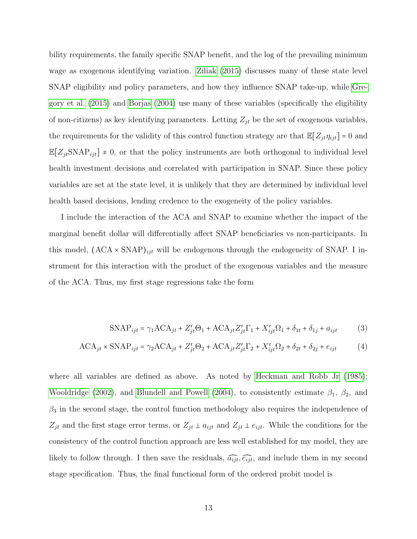bility requirements, the family specific SNAP benefit, and the log of the prevailing minimum wage as exogenous identifying variation. [Ziliak \(2015\)](#page-35-5) discusses many of these state level SNAP eligibility and policy parameters, and how they influence SNAP take-up, while [Gre](#page-33-4)[gory et al. \(2015\)](#page-33-4) and [Borjas \(2004\)](#page-32-5) use many of these variables (specifically the eligibility of non-citizens) as key identifying parameters. Letting  $Z_{jt}$  be the set of exogenous variables, the requirements for the validity of this control function strategy are that  $\mathbb{E}[Z_{jt}\eta_{ijt}] = 0$  and  $\mathbb{E}[Z_{jt} \text{SNAP}_{ijt}] \neq 0$ , or that the policy instruments are both orthogonal to individual level health investment decisions and correlated with participation in SNAP. Since these policy variables are set at the state level, it is unlikely that they are determined by individual level health based decisions, lending credence to the exogeneity of the policy variables.

I include the interaction of the ACA and SNAP to examine whether the impact of the marginal benefit dollar will differentially affect SNAP beneficiaries vs non-participants. In this model,  $(ACA \times \text{SNAP})_{ijt}$  will be endogenous through the endogeneity of SNAP. I instrument for this interaction with the product of the exogenous variables and the measure of the ACA. Thus, my first stage regressions take the form

$$
\text{SNAP}_{ijt} = \gamma_1 \text{ACA}_{jt} + Z'_{jt} \Theta_1 + \text{ACA}_{jt} Z'_{jt} \Gamma_1 + X'_{ijt} \Omega_1 + \delta_{1t} + \delta_{1j} + a_{ijt} \tag{3}
$$

$$
ACA_{jt} \times \text{SNAP}_{ijt} = \gamma_2 ACA_{jt} + Z'_{jt}\Theta_2 + ACA_{jt}Z'_{jt}\Gamma_2 + X'_{ijt}\Omega_2 + \delta_{2t} + \delta_{2j} + e_{ijt}
$$
 (4)

where all variables are defined as above. As noted by [Heckman and Robb Jr \(1985\)](#page-33-7); [Wooldridge \(2002\)](#page-35-7), and [Blundell and Powell \(2004\)](#page-31-7), to consistently estimate  $\beta_1$ ,  $\beta_2$ , and  $\beta_3$  in the second stage, the control function methodology also requires the independence of  $Z_{jt}$  and the first stage error terms, or  $Z_{jt} \perp a_{ijt}$  and  $Z_{jt} \perp e_{ijt}$ . While the conditions for the consistency of the control function approach are less well established for my model, they are likely to follow through. I then save the residuals,  $\widehat{a_{ijt}}, \widehat{e_{ijt}}$ , and include them in my second stage specification. Thus, the final functional form of the ordered probit model is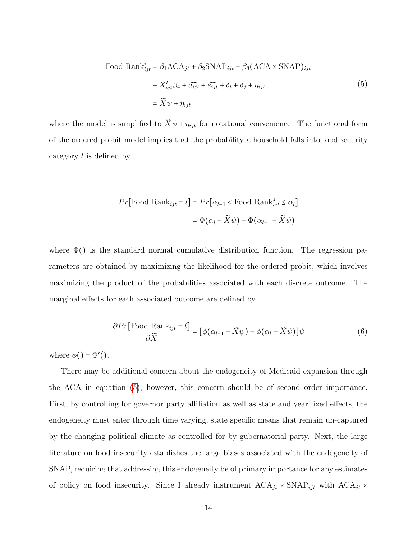<span id="page-13-0"></span>Food Rank<sup>\*</sup><sub>ijt</sub> = 
$$
\beta_1
$$
ACA<sub>jt</sub> +  $\beta_2$ SNAP<sub>ijt</sub> +  $\beta_3$ (ACA × SNAP)<sub>ijt</sub>  
+  $X'_{ijt}\beta_4 + \widehat{a_{ijt}} + \widehat{e_{ijt}} + \delta_t + \delta_j + \eta_{ijt}$   
=  $\widetilde{X}\psi + \eta_{ijt}$  (5)

where the model is simplified to  $\widetilde{X}\psi + \eta_{ijt}$  for notational convenience. The functional form of the ordered probit model implies that the probability a household falls into food security category l is defined by

$$
Pr[\text{Food Rank}_{ijt} = l] = Pr[\alpha_{l-1} < \text{Food Rank}_{ijt}^* \le \alpha_l]
$$
\n
$$
= \Phi(\alpha_l - \widetilde{X}\psi) - \Phi(\alpha_{l-1} - \widetilde{X}\psi)
$$

where  $\Phi()$  is the standard normal cumulative distribution function. The regression parameters are obtained by maximizing the likelihood for the ordered probit, which involves maximizing the product of the probabilities associated with each discrete outcome. The marginal effects for each associated outcome are defined by

$$
\frac{\partial Pr[\text{Food Rank}_{ijt} = l]}{\partial \widetilde{X}} = [\phi(\alpha_{l-1} - \widetilde{X}\psi) - \phi(\alpha_l - \widetilde{X}\psi)]\psi \tag{6}
$$

where  $\phi() = \Phi'($ .

There may be additional concern about the endogeneity of Medicaid expansion through the ACA in equation [\(5\)](#page-13-0), however, this concern should be of second order importance. First, by controlling for governor party affiliation as well as state and year fixed effects, the endogeneity must enter through time varying, state specific means that remain un-captured by the changing political climate as controlled for by gubernatorial party. Next, the large literature on food insecurity establishes the large biases associated with the endogeneity of SNAP, requiring that addressing this endogeneity be of primary importance for any estimates of policy on food insecurity. Since I already instrument  $ACA_{jt} \times \text{SNAP}_{ijt}$  with  $ACA_{jt} \times$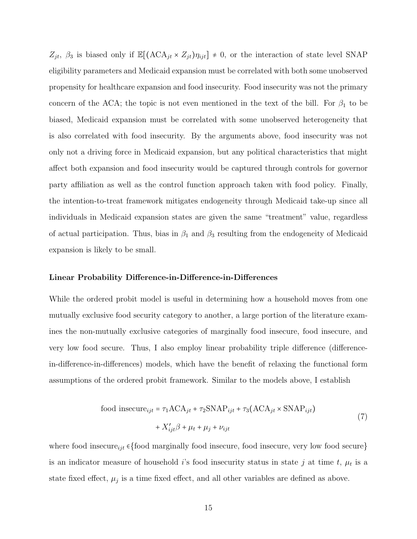$Z_{jt}$ ,  $\beta_3$  is biased only if  $\mathbb{E}[(\text{ACA}_{jt} \times Z_{jt})\eta_{ijt}] \neq 0$ , or the interaction of state level SNAP eligibility parameters and Medicaid expansion must be correlated with both some unobserved propensity for healthcare expansion and food insecurity. Food insecurity was not the primary concern of the ACA; the topic is not even mentioned in the text of the bill. For  $\beta_1$  to be biased, Medicaid expansion must be correlated with some unobserved heterogeneity that is also correlated with food insecurity. By the arguments above, food insecurity was not only not a driving force in Medicaid expansion, but any political characteristics that might affect both expansion and food insecurity would be captured through controls for governor party affiliation as well as the control function approach taken with food policy. Finally, the intention-to-treat framework mitigates endogeneity through Medicaid take-up since all individuals in Medicaid expansion states are given the same "treatment" value, regardless of actual participation. Thus, bias in  $\beta_1$  and  $\beta_3$  resulting from the endogeneity of Medicaid expansion is likely to be small.

#### Linear Probability Difference-in-Difference-in-Differences

While the ordered probit model is useful in determining how a household moves from one mutually exclusive food security category to another, a large portion of the literature examines the non-mutually exclusive categories of marginally food insecure, food insecure, and very low food secure. Thus, I also employ linear probability triple difference (differencein-difference-in-differences) models, which have the benefit of relaxing the functional form assumptions of the ordered probit framework. Similar to the models above, I establish

<span id="page-14-0"></span>food insecure<sub>ijt</sub> = 
$$
\tau_1 ACA_{jt} + \tau_2 SNAP_{ijt} + \tau_3 (ACA_{jt} \times SNAP_{ijt})
$$
  
+  $X'_{ijt}\beta + \mu_t + \mu_j + \nu_{ijt}$  (7)

where food insecure<sub>ijt</sub> ∈{food marginally food insecure, food insecure, very low food secure} is an indicator measure of household *i*'s food insecurity status in state *j* at time *t*,  $\mu_t$  is a state fixed effect,  $\mu_j$  is a time fixed effect, and all other variables are defined as above.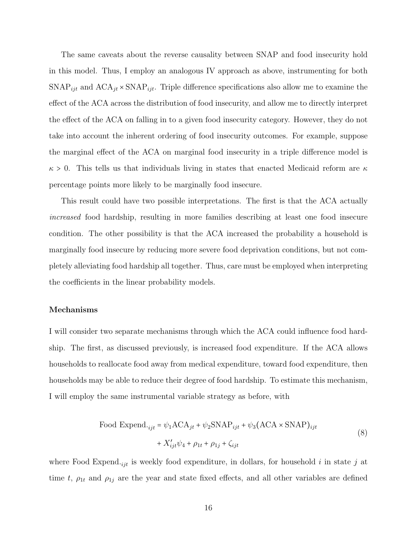The same caveats about the reverse causality between SNAP and food insecurity hold in this model. Thus, I employ an analogous IV approach as above, instrumenting for both  $SNAP_{ijt}$  and  $ACA_{jt} \times SNAP_{ijt}$ . Triple difference specifications also allow me to examine the effect of the ACA across the distribution of food insecurity, and allow me to directly interpret the effect of the ACA on falling in to a given food insecurity category. However, they do not take into account the inherent ordering of food insecurity outcomes. For example, suppose the marginal effect of the ACA on marginal food insecurity in a triple difference model is  $\kappa > 0$ . This tells us that individuals living in states that enacted Medicaid reform are  $\kappa$ percentage points more likely to be marginally food insecure.

This result could have two possible interpretations. The first is that the ACA actually increased food hardship, resulting in more families describing at least one food insecure condition. The other possibility is that the ACA increased the probability a household is marginally food insecure by reducing more severe food deprivation conditions, but not completely alleviating food hardship all together. Thus, care must be employed when interpreting the coefficients in the linear probability models.

## Mechanisms

I will consider two separate mechanisms through which the ACA could influence food hardship. The first, as discussed previously, is increased food expenditure. If the ACA allows households to reallocate food away from medical expenditure, toward food expenditure, then households may be able to reduce their degree of food hardship. To estimate this mechanism, I will employ the same instrumental variable strategy as before, with

<span id="page-15-0"></span>Food Expand.  

$$
_{ijt} = \psi_1 ACA_{jt} + \psi_2 SNAP_{ijt} + \psi_3 (ACA \times SNAP)_{ijt}
$$

$$
+ X'_{ijt} \psi_4 + \rho_{1t} + \rho_{1j} + \zeta_{ijt}
$$
(8)

where Food Expend.<sub>ijt</sub> is weekly food expenditure, in dollars, for household i in state j at time t,  $\rho_{1t}$  and  $\rho_{1j}$  are the year and state fixed effects, and all other variables are defined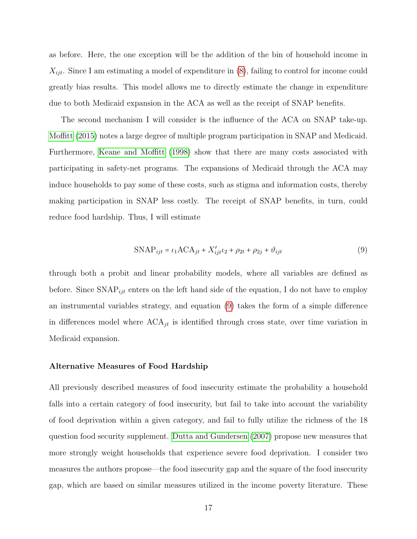as before. Here, the one exception will be the addition of the bin of household income in  $X_{ijt}$ . Since I am estimating a model of expenditure in  $(8)$ , failing to control for income could greatly bias results. This model allows me to directly estimate the change in expenditure due to both Medicaid expansion in the ACA as well as the receipt of SNAP benefits.

The second mechanism I will consider is the influence of the ACA on SNAP take-up. [Moffitt \(2015\)](#page-34-3) notes a large degree of multiple program participation in SNAP and Medicaid. Furthermore, [Keane and Moffitt \(1998\)](#page-34-8) show that there are many costs associated with participating in safety-net programs. The expansions of Medicaid through the ACA may induce households to pay some of these costs, such as stigma and information costs, thereby making participation in SNAP less costly. The receipt of SNAP benefits, in turn, could reduce food hardship. Thus, I will estimate

<span id="page-16-0"></span>
$$
\text{SNAP}_{ijt} = \iota_1 \text{ACA}_{jt} + X'_{ijt} \iota_2 + \rho_{2t} + \rho_{2j} + \vartheta_{ijt} \tag{9}
$$

through both a probit and linear probability models, where all variables are defined as before. Since  $\text{SNAP}_{ijt}$  enters on the left hand side of the equation, I do not have to employ an instrumental variables strategy, and equation [\(9\)](#page-16-0) takes the form of a simple difference in differences model where  $ACA_{jt}$  is identified through cross state, over time variation in Medicaid expansion.

#### Alternative Measures of Food Hardship

All previously described measures of food insecurity estimate the probability a household falls into a certain category of food insecurity, but fail to take into account the variability of food deprivation within a given category, and fail to fully utilize the richness of the 18 question food security supplement. [Dutta and Gundersen \(2007\)](#page-32-6) propose new measures that more strongly weight households that experience severe food deprivation. I consider two measures the authors propose—the food insecurity gap and the square of the food insecurity gap, which are based on similar measures utilized in the income poverty literature. These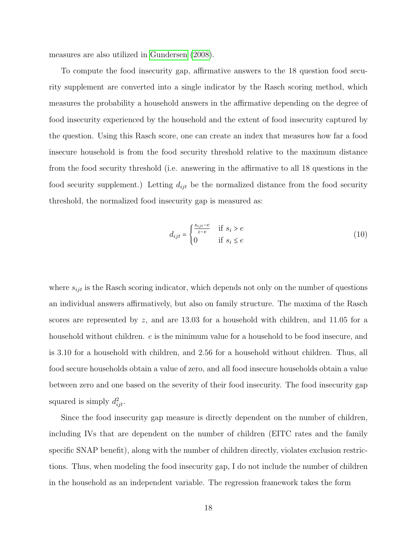measures are also utilized in [Gundersen \(2008\)](#page-33-8).

To compute the food insecurity gap, affirmative answers to the 18 question food security supplement are converted into a single indicator by the Rasch scoring method, which measures the probability a household answers in the affirmative depending on the degree of food insecurity experienced by the household and the extent of food insecurity captured by the question. Using this Rasch score, one can create an index that measures how far a food insecure household is from the food security threshold relative to the maximum distance from the food security threshold (i.e. answering in the affirmative to all 18 questions in the food security supplement.) Letting  $d_{ijt}$  be the normalized distance from the food security threshold, the normalized food insecurity gap is measured as:

$$
d_{ijt} = \begin{cases} \frac{s_{ijt} - e}{z - e} & \text{if } s_i > e \\ 0 & \text{if } s_i \le e \end{cases}
$$
 (10)

where  $s_{ijt}$  is the Rasch scoring indicator, which depends not only on the number of questions an individual answers affirmatively, but also on family structure. The maxima of the Rasch scores are represented by z, and are 13.03 for a household with children, and 11.05 for a household without children.  $e$  is the minimum value for a household to be food insecure, and is 3.10 for a household with children, and 2.56 for a household without children. Thus, all food secure households obtain a value of zero, and all food insecure households obtain a value between zero and one based on the severity of their food insecurity. The food insecurity gap squared is simply  $d_{ijt}^2$ .

Since the food insecurity gap measure is directly dependent on the number of children, including IVs that are dependent on the number of children (EITC rates and the family specific SNAP benefit), along with the number of children directly, violates exclusion restrictions. Thus, when modeling the food insecurity gap, I do not include the number of children in the household as an independent variable. The regression framework takes the form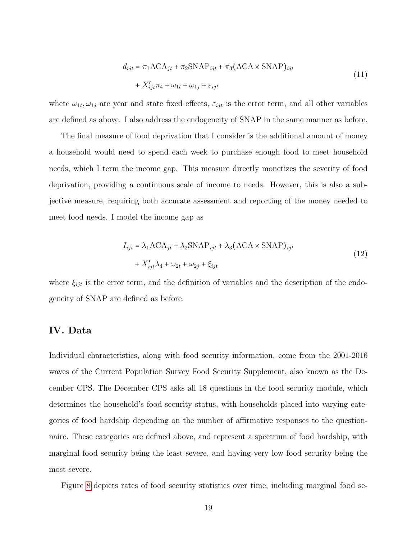<span id="page-18-0"></span>
$$
d_{ijt} = \pi_1 ACA_{jt} + \pi_2 SNAP_{ijt} + \pi_3 (ACA \times SNAP)_{ijt}
$$
  
+  $X'_{ijt}\pi_4 + \omega_{1t} + \omega_{1j} + \varepsilon_{ijt}$  (11)

where  $\omega_{1t}, \omega_{1j}$  are year and state fixed effects,  $\varepsilon_{ijt}$  is the error term, and all other variables are defined as above. I also address the endogeneity of SNAP in the same manner as before.

The final measure of food deprivation that I consider is the additional amount of money a household would need to spend each week to purchase enough food to meet household needs, which I term the income gap. This measure directly monetizes the severity of food deprivation, providing a continuous scale of income to needs. However, this is also a subjective measure, requiring both accurate assessment and reporting of the money needed to meet food needs. I model the income gap as

<span id="page-18-1"></span>
$$
I_{ijt} = \lambda_1 \text{ACA}_{jt} + \lambda_2 \text{SNAP}_{ijt} + \lambda_3 (\text{ACA} \times \text{SNAP})_{ijt}
$$
  
+  $X'_{ijt}\lambda_4 + \omega_{2t} + \omega_{2j} + \xi_{ijt}$  (12)

where  $\xi_{ijt}$  is the error term, and the definition of variables and the description of the endogeneity of SNAP are defined as before.

## IV. Data

Individual characteristics, along with food security information, come from the 2001-2016 waves of the Current Population Survey Food Security Supplement, also known as the December CPS. The December CPS asks all 18 questions in the food security module, which determines the household's food security status, with households placed into varying categories of food hardship depending on the number of affirmative responses to the questionnaire. These categories are defined above, and represent a spectrum of food hardship, with marginal food security being the least severe, and having very low food security being the most severe.

Figure [8](#page-42-0) depicts rates of food security statistics over time, including marginal food se-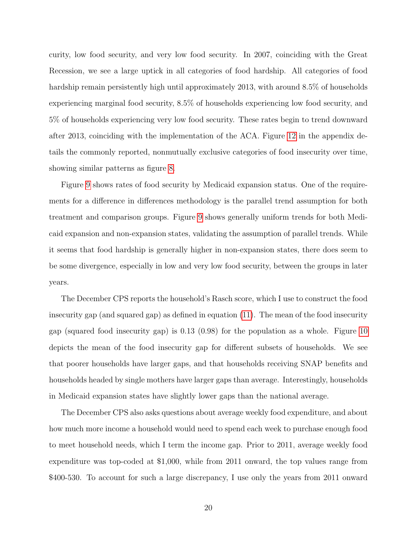curity, low food security, and very low food security. In 2007, coinciding with the Great Recession, we see a large uptick in all categories of food hardship. All categories of food hardship remain persistently high until approximately 2013, with around 8.5% of households experiencing marginal food security, 8.5% of households experiencing low food security, and 5% of households experiencing very low food security. These rates begin to trend downward after 2013, coinciding with the implementation of the ACA. Figure [12](#page-51-0) in the appendix details the commonly reported, nonmutually exclusive categories of food insecurity over time, showing similar patterns as figure [8.](#page-42-0)

Figure [9](#page-43-0) shows rates of food security by Medicaid expansion status. One of the requirements for a difference in differences methodology is the parallel trend assumption for both treatment and comparison groups. Figure [9](#page-43-0) shows generally uniform trends for both Medicaid expansion and non-expansion states, validating the assumption of parallel trends. While it seems that food hardship is generally higher in non-expansion states, there does seem to be some divergence, especially in low and very low food security, between the groups in later years.

The December CPS reports the household's Rasch score, which I use to construct the food insecurity gap (and squared gap) as defined in equation [\(11\)](#page-18-0). The mean of the food insecurity gap (squared food insecurity gap) is 0.13 (0.98) for the population as a whole. Figure [10](#page-44-0) depicts the mean of the food insecurity gap for different subsets of households. We see that poorer households have larger gaps, and that households receiving SNAP benefits and households headed by single mothers have larger gaps than average. Interestingly, households in Medicaid expansion states have slightly lower gaps than the national average.

The December CPS also asks questions about average weekly food expenditure, and about how much more income a household would need to spend each week to purchase enough food to meet household needs, which I term the income gap. Prior to 2011, average weekly food expenditure was top-coded at \$1,000, while from 2011 onward, the top values range from \$400-530. To account for such a large discrepancy, I use only the years from 2011 onward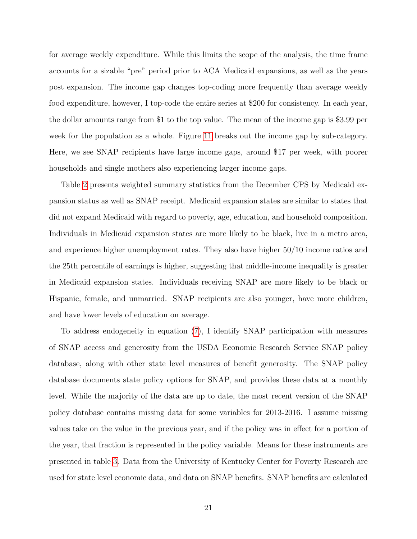for average weekly expenditure. While this limits the scope of the analysis, the time frame accounts for a sizable "pre" period prior to ACA Medicaid expansions, as well as the years post expansion. The income gap changes top-coding more frequently than average weekly food expenditure, however, I top-code the entire series at \$200 for consistency. In each year, the dollar amounts range from \$1 to the top value. The mean of the income gap is \$3.99 per week for the population as a whole. Figure [11](#page-44-1) breaks out the income gap by sub-category. Here, we see SNAP recipients have large income gaps, around \$17 per week, with poorer households and single mothers also experiencing larger income gaps.

Table [2](#page-46-0) presents weighted summary statistics from the December CPS by Medicaid expansion status as well as SNAP receipt. Medicaid expansion states are similar to states that did not expand Medicaid with regard to poverty, age, education, and household composition. Individuals in Medicaid expansion states are more likely to be black, live in a metro area, and experience higher unemployment rates. They also have higher 50/10 income ratios and the 25th percentile of earnings is higher, suggesting that middle-income inequality is greater in Medicaid expansion states. Individuals receiving SNAP are more likely to be black or Hispanic, female, and unmarried. SNAP recipients are also younger, have more children, and have lower levels of education on average.

To address endogeneity in equation [\(7\)](#page-14-0), I identify SNAP participation with measures of SNAP access and generosity from the USDA Economic Research Service SNAP policy database, along with other state level measures of benefit generosity. The SNAP policy database documents state policy options for SNAP, and provides these data at a monthly level. While the majority of the data are up to date, the most recent version of the SNAP policy database contains missing data for some variables for 2013-2016. I assume missing values take on the value in the previous year, and if the policy was in effect for a portion of the year, that fraction is represented in the policy variable. Means for these instruments are presented in table [3.](#page-47-0) Data from the University of Kentucky Center for Poverty Research are used for state level economic data, and data on SNAP benefits. SNAP benefits are calculated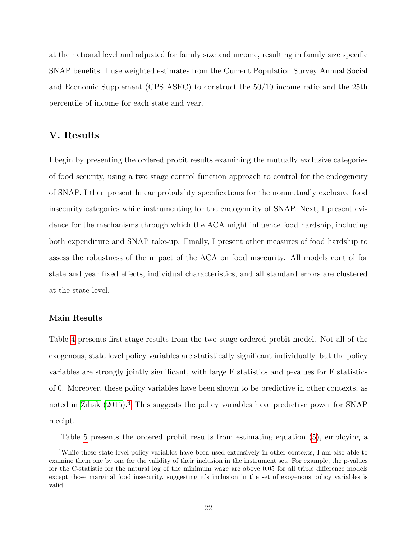at the national level and adjusted for family size and income, resulting in family size specific SNAP benefits. I use weighted estimates from the Current Population Survey Annual Social and Economic Supplement (CPS ASEC) to construct the 50/10 income ratio and the 25th percentile of income for each state and year.

# V. Results

I begin by presenting the ordered probit results examining the mutually exclusive categories of food security, using a two stage control function approach to control for the endogeneity of SNAP. I then present linear probability specifications for the nonmutually exclusive food insecurity categories while instrumenting for the endogeneity of SNAP. Next, I present evidence for the mechanisms through which the ACA might influence food hardship, including both expenditure and SNAP take-up. Finally, I present other measures of food hardship to assess the robustness of the impact of the ACA on food insecurity. All models control for state and year fixed effects, individual characteristics, and all standard errors are clustered at the state level.

## Main Results

Table [4](#page-48-0) presents first stage results from the two stage ordered probit model. Not all of the exogenous, state level policy variables are statistically significant individually, but the policy variables are strongly jointly significant, with large F statistics and p-values for F statistics of 0. Moreover, these policy variables have been shown to be predictive in other contexts, as noted in [Ziliak \(2015\)](#page-35-5).[4](#page-21-0) This suggests the policy variables have predictive power for SNAP receipt.

<span id="page-21-0"></span>Table [5](#page-49-0) presents the ordered probit results from estimating equation [\(5\)](#page-13-0), employing a

<sup>4</sup>While these state level policy variables have been used extensively in other contexts, I am also able to examine them one by one for the validity of their inclusion in the instrument set. For example, the p-values for the C-statistic for the natural log of the minimum wage are above 0.05 for all triple difference models except those marginal food insecurity, suggesting it's inclusion in the set of exogenous policy variables is valid.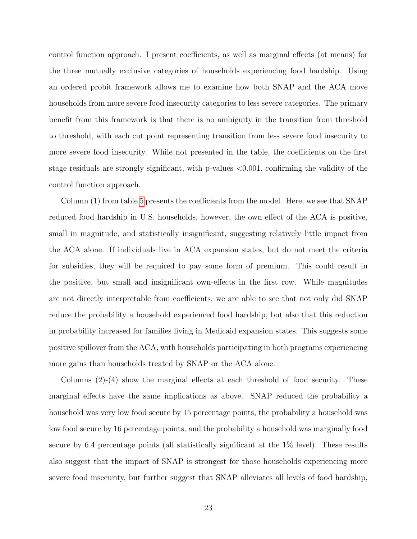control function approach. I present coefficients, as well as marginal effects (at means) for the three mutually exclusive categories of households experiencing food hardship. Using an ordered probit framework allows me to examine how both SNAP and the ACA move households from more severe food insecurity categories to less severe categories. The primary benefit from this framework is that there is no ambiguity in the transition from threshold to threshold, with each cut point representing transition from less severe food insecurity to more severe food insecurity. While not presented in the table, the coefficients on the first stage residuals are strongly significant, with p-values <0.001, confirming the validity of the control function approach.

Column (1) from table [5](#page-49-0) presents the coefficients from the model. Here, we see that SNAP reduced food hardship in U.S. households, however, the own effect of the ACA is positive, small in magnitude, and statistically insignificant, suggesting relatively little impact from the ACA alone. If individuals live in ACA expansion states, but do not meet the criteria for subsidies, they will be required to pay some form of premium. This could result in the positive, but small and insignificant own-effects in the first row. While magnitudes are not directly interpretable from coefficients, we are able to see that not only did SNAP reduce the probability a household experienced food hardship, but also that this reduction in probability increased for families living in Medicaid expansion states. This suggests some positive spillover from the ACA, with households participating in both programs experiencing more gains than households treated by SNAP or the ACA alone.

Columns (2)-(4) show the marginal effects at each threshold of food security. These marginal effects have the same implications as above. SNAP reduced the probability a household was very low food secure by 15 percentage points, the probability a household was low food secure by 16 percentage points, and the probability a household was marginally food secure by 6.4 percentage points (all statistically significant at the 1% level). These results also suggest that the impact of SNAP is strongest for those households experiencing more severe food insecurity, but further suggest that SNAP alleviates all levels of food hardship,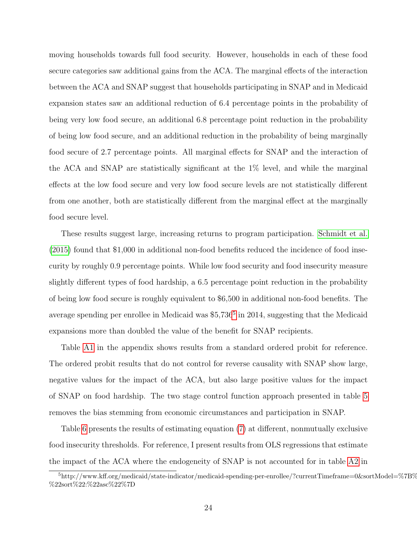moving households towards full food security. However, households in each of these food secure categories saw additional gains from the ACA. The marginal effects of the interaction between the ACA and SNAP suggest that households participating in SNAP and in Medicaid expansion states saw an additional reduction of 6.4 percentage points in the probability of being very low food secure, an additional 6.8 percentage point reduction in the probability of being low food secure, and an additional reduction in the probability of being marginally food secure of 2.7 percentage points. All marginal effects for SNAP and the interaction of the ACA and SNAP are statistically significant at the 1% level, and while the marginal effects at the low food secure and very low food secure levels are not statistically different from one another, both are statistically different from the marginal effect at the marginally food secure level.

These results suggest large, increasing returns to program participation. [Schmidt et al.](#page-35-3) [\(2015\)](#page-35-3) found that \$1,000 in additional non-food benefits reduced the incidence of food insecurity by roughly 0.9 percentage points. While low food security and food insecurity measure slightly different types of food hardship, a 6.5 percentage point reduction in the probability of being low food secure is roughly equivalent to \$6,500 in additional non-food benefits. The average spending per enrollee in Medicaid was \$[5](#page-23-0),736<sup>5</sup> in 2014, suggesting that the Medicaid expansions more than doubled the value of the benefit for SNAP recipients.

Table [A1](#page-52-0) in the appendix shows results from a standard ordered probit for reference. The ordered probit results that do not control for reverse causality with SNAP show large, negative values for the impact of the ACA, but also large positive values for the impact of SNAP on food hardship. The two stage control function approach presented in table [5](#page-49-0) removes the bias stemming from economic circumstances and participation in SNAP.

Table [6](#page-49-1) presents the results of estimating equation [\(7\)](#page-14-0) at different, nonmutually exclusive food insecurity thresholds. For reference, I present results from OLS regressions that estimate the impact of the ACA where the endogeneity of SNAP is not accounted for in table [A2](#page-52-1) in

<span id="page-23-0"></span> $^{5}$ http://www.kff.org/medicaid/state-indicator/medicaid-spending-per-enrollee/?currentTimeframe=0&sortModel=%7B% %22sort%22:%22asc%22%7D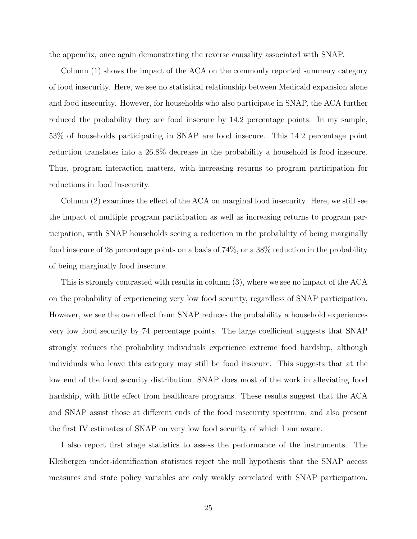the appendix, once again demonstrating the reverse causality associated with SNAP.

Column (1) shows the impact of the ACA on the commonly reported summary category of food insecurity. Here, we see no statistical relationship between Medicaid expansion alone and food insecurity. However, for households who also participate in SNAP, the ACA further reduced the probability they are food insecure by 14.2 percentage points. In my sample, 53% of households participating in SNAP are food insecure. This 14.2 percentage point reduction translates into a 26.8% decrease in the probability a household is food insecure. Thus, program interaction matters, with increasing returns to program participation for reductions in food insecurity.

Column (2) examines the effect of the ACA on marginal food insecurity. Here, we still see the impact of multiple program participation as well as increasing returns to program participation, with SNAP households seeing a reduction in the probability of being marginally food insecure of 28 percentage points on a basis of 74%, or a 38% reduction in the probability of being marginally food insecure.

This is strongly contrasted with results in column (3), where we see no impact of the ACA on the probability of experiencing very low food security, regardless of SNAP participation. However, we see the own effect from SNAP reduces the probability a household experiences very low food security by 74 percentage points. The large coefficient suggests that SNAP strongly reduces the probability individuals experience extreme food hardship, although individuals who leave this category may still be food insecure. This suggests that at the low end of the food security distribution, SNAP does most of the work in alleviating food hardship, with little effect from healthcare programs. These results suggest that the ACA and SNAP assist those at different ends of the food insecurity spectrum, and also present the first IV estimates of SNAP on very low food security of which I am aware.

I also report first stage statistics to assess the performance of the instruments. The Kleibergen under-identification statistics reject the null hypothesis that the SNAP access measures and state policy variables are only weakly correlated with SNAP participation.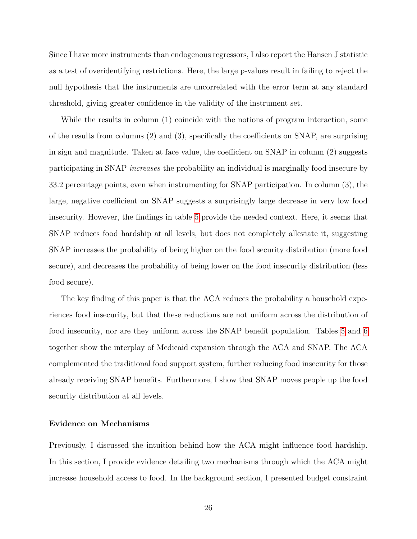Since I have more instruments than endogenous regressors, I also report the Hansen J statistic as a test of overidentifying restrictions. Here, the large p-values result in failing to reject the null hypothesis that the instruments are uncorrelated with the error term at any standard threshold, giving greater confidence in the validity of the instrument set.

While the results in column (1) coincide with the notions of program interaction, some of the results from columns (2) and (3), specifically the coefficients on SNAP, are surprising in sign and magnitude. Taken at face value, the coefficient on SNAP in column (2) suggests participating in SNAP increases the probability an individual is marginally food insecure by 33.2 percentage points, even when instrumenting for SNAP participation. In column (3), the large, negative coefficient on SNAP suggests a surprisingly large decrease in very low food insecurity. However, the findings in table [5](#page-49-0) provide the needed context. Here, it seems that SNAP reduces food hardship at all levels, but does not completely alleviate it, suggesting SNAP increases the probability of being higher on the food security distribution (more food secure), and decreases the probability of being lower on the food insecurity distribution (less food secure).

The key finding of this paper is that the ACA reduces the probability a household experiences food insecurity, but that these reductions are not uniform across the distribution of food insecurity, nor are they uniform across the SNAP benefit population. Tables [5](#page-49-0) and [6](#page-49-1) together show the interplay of Medicaid expansion through the ACA and SNAP. The ACA complemented the traditional food support system, further reducing food insecurity for those already receiving SNAP benefits. Furthermore, I show that SNAP moves people up the food security distribution at all levels.

#### Evidence on Mechanisms

Previously, I discussed the intuition behind how the ACA might influence food hardship. In this section, I provide evidence detailing two mechanisms through which the ACA might increase household access to food. In the background section, I presented budget constraint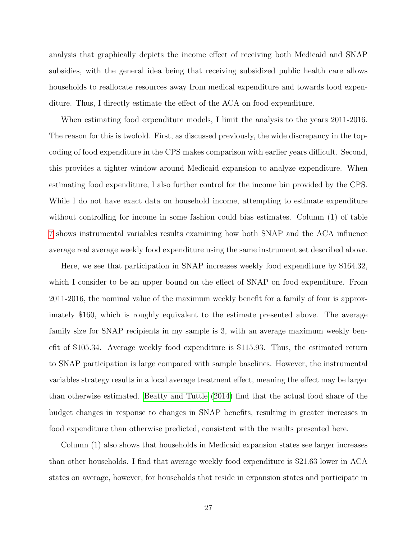analysis that graphically depicts the income effect of receiving both Medicaid and SNAP subsidies, with the general idea being that receiving subsidized public health care allows households to reallocate resources away from medical expenditure and towards food expenditure. Thus, I directly estimate the effect of the ACA on food expenditure.

When estimating food expenditure models, I limit the analysis to the years 2011-2016. The reason for this is twofold. First, as discussed previously, the wide discrepancy in the topcoding of food expenditure in the CPS makes comparison with earlier years difficult. Second, this provides a tighter window around Medicaid expansion to analyze expenditure. When estimating food expenditure, I also further control for the income bin provided by the CPS. While I do not have exact data on household income, attempting to estimate expenditure without controlling for income in some fashion could bias estimates. Column (1) of table [7](#page-50-0) shows instrumental variables results examining how both SNAP and the ACA influence average real average weekly food expenditure using the same instrument set described above.

Here, we see that participation in SNAP increases weekly food expenditure by \$164.32, which I consider to be an upper bound on the effect of SNAP on food expenditure. From 2011-2016, the nominal value of the maximum weekly benefit for a family of four is approximately \$160, which is roughly equivalent to the estimate presented above. The average family size for SNAP recipients in my sample is 3, with an average maximum weekly benefit of \$105.34. Average weekly food expenditure is \$115.93. Thus, the estimated return to SNAP participation is large compared with sample baselines. However, the instrumental variables strategy results in a local average treatment effect, meaning the effect may be larger than otherwise estimated. [Beatty and Tuttle \(2014\)](#page-31-4) find that the actual food share of the budget changes in response to changes in SNAP benefits, resulting in greater increases in food expenditure than otherwise predicted, consistent with the results presented here.

Column (1) also shows that households in Medicaid expansion states see larger increases than other households. I find that average weekly food expenditure is \$21.63 lower in ACA states on average, however, for households that reside in expansion states and participate in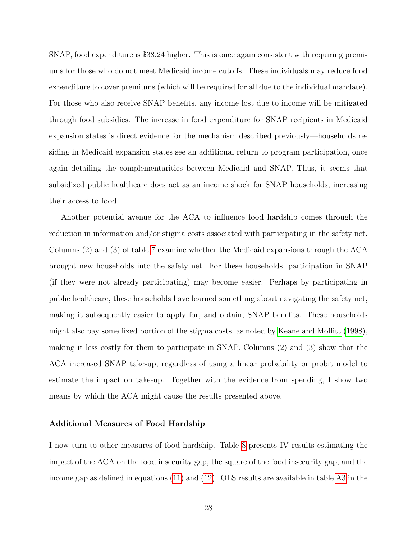SNAP, food expenditure is \$38.24 higher. This is once again consistent with requiring premiums for those who do not meet Medicaid income cutoffs. These individuals may reduce food expenditure to cover premiums (which will be required for all due to the individual mandate). For those who also receive SNAP benefits, any income lost due to income will be mitigated through food subsidies. The increase in food expenditure for SNAP recipients in Medicaid expansion states is direct evidence for the mechanism described previously—households residing in Medicaid expansion states see an additional return to program participation, once again detailing the complementarities between Medicaid and SNAP. Thus, it seems that subsidized public healthcare does act as an income shock for SNAP households, increasing their access to food.

Another potential avenue for the ACA to influence food hardship comes through the reduction in information and/or stigma costs associated with participating in the safety net. Columns (2) and (3) of table [7](#page-50-0) examine whether the Medicaid expansions through the ACA brought new households into the safety net. For these households, participation in SNAP (if they were not already participating) may become easier. Perhaps by participating in public healthcare, these households have learned something about navigating the safety net, making it subsequently easier to apply for, and obtain, SNAP benefits. These households might also pay some fixed portion of the stigma costs, as noted by [Keane and Moffitt \(1998\)](#page-34-8), making it less costly for them to participate in SNAP. Columns (2) and (3) show that the ACA increased SNAP take-up, regardless of using a linear probability or probit model to estimate the impact on take-up. Together with the evidence from spending, I show two means by which the ACA might cause the results presented above.

#### Additional Measures of Food Hardship

I now turn to other measures of food hardship. Table [8](#page-50-1) presents IV results estimating the impact of the ACA on the food insecurity gap, the square of the food insecurity gap, and the income gap as defined in equations [\(11\)](#page-18-0) and [\(12\)](#page-18-1). OLS results are available in table [A3](#page-53-0) in the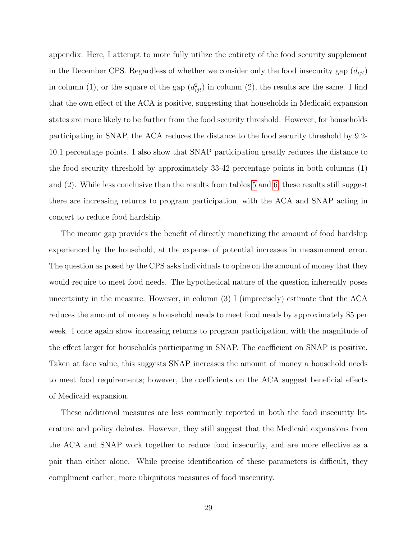appendix. Here, I attempt to more fully utilize the entirety of the food security supplement in the December CPS. Regardless of whether we consider only the food insecurity gap  $(d_{iit})$ in column (1), or the square of the gap  $(d_{ijt}^2)$  in column (2), the results are the same. I find that the own effect of the ACA is positive, suggesting that households in Medicaid expansion states are more likely to be farther from the food security threshold. However, for households participating in SNAP, the ACA reduces the distance to the food security threshold by 9.2- 10.1 percentage points. I also show that SNAP participation greatly reduces the distance to the food security threshold by approximately 33-42 percentage points in both columns (1) and (2). While less conclusive than the results from tables [5](#page-49-0) and [6,](#page-49-1) these results still suggest there are increasing returns to program participation, with the ACA and SNAP acting in concert to reduce food hardship.

The income gap provides the benefit of directly monetizing the amount of food hardship experienced by the household, at the expense of potential increases in measurement error. The question as posed by the CPS asks individuals to opine on the amount of money that they would require to meet food needs. The hypothetical nature of the question inherently poses uncertainty in the measure. However, in column (3) I (imprecisely) estimate that the ACA reduces the amount of money a household needs to meet food needs by approximately \$5 per week. I once again show increasing returns to program participation, with the magnitude of the effect larger for households participating in SNAP. The coefficient on SNAP is positive. Taken at face value, this suggests SNAP increases the amount of money a household needs to meet food requirements; however, the coefficients on the ACA suggest beneficial effects of Medicaid expansion.

These additional measures are less commonly reported in both the food insecurity literature and policy debates. However, they still suggest that the Medicaid expansions from the ACA and SNAP work together to reduce food insecurity, and are more effective as a pair than either alone. While precise identification of these parameters is difficult, they compliment earlier, more ubiquitous measures of food insecurity.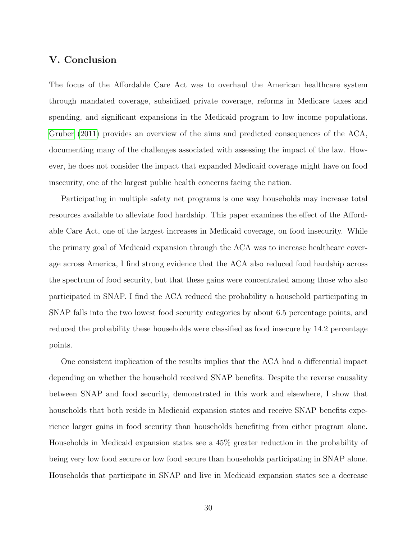# V. Conclusion

The focus of the Affordable Care Act was to overhaul the American healthcare system through mandated coverage, subsidized private coverage, reforms in Medicare taxes and spending, and significant expansions in the Medicaid program to low income populations. [Gruber \(2011\)](#page-33-9) provides an overview of the aims and predicted consequences of the ACA, documenting many of the challenges associated with assessing the impact of the law. However, he does not consider the impact that expanded Medicaid coverage might have on food insecurity, one of the largest public health concerns facing the nation.

Participating in multiple safety net programs is one way households may increase total resources available to alleviate food hardship. This paper examines the effect of the Affordable Care Act, one of the largest increases in Medicaid coverage, on food insecurity. While the primary goal of Medicaid expansion through the ACA was to increase healthcare coverage across America, I find strong evidence that the ACA also reduced food hardship across the spectrum of food security, but that these gains were concentrated among those who also participated in SNAP. I find the ACA reduced the probability a household participating in SNAP falls into the two lowest food security categories by about 6.5 percentage points, and reduced the probability these households were classified as food insecure by 14.2 percentage points.

One consistent implication of the results implies that the ACA had a differential impact depending on whether the household received SNAP benefits. Despite the reverse causality between SNAP and food security, demonstrated in this work and elsewhere, I show that households that both reside in Medicaid expansion states and receive SNAP benefits experience larger gains in food security than households benefiting from either program alone. Households in Medicaid expansion states see a 45% greater reduction in the probability of being very low food secure or low food secure than households participating in SNAP alone. Households that participate in SNAP and live in Medicaid expansion states see a decrease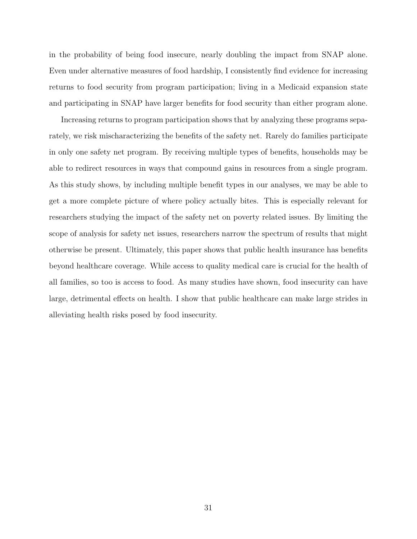in the probability of being food insecure, nearly doubling the impact from SNAP alone. Even under alternative measures of food hardship, I consistently find evidence for increasing returns to food security from program participation; living in a Medicaid expansion state and participating in SNAP have larger benefits for food security than either program alone.

Increasing returns to program participation shows that by analyzing these programs separately, we risk mischaracterizing the benefits of the safety net. Rarely do families participate in only one safety net program. By receiving multiple types of benefits, households may be able to redirect resources in ways that compound gains in resources from a single program. As this study shows, by including multiple benefit types in our analyses, we may be able to get a more complete picture of where policy actually bites. This is especially relevant for researchers studying the impact of the safety net on poverty related issues. By limiting the scope of analysis for safety net issues, researchers narrow the spectrum of results that might otherwise be present. Ultimately, this paper shows that public health insurance has benefits beyond healthcare coverage. While access to quality medical care is crucial for the health of all families, so too is access to food. As many studies have shown, food insecurity can have large, detrimental effects on health. I show that public healthcare can make large strides in alleviating health risks posed by food insecurity.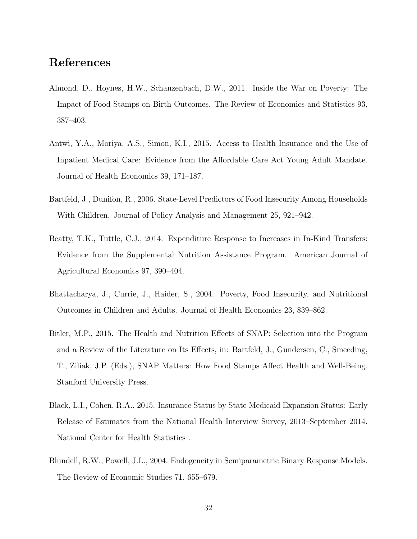# References

- <span id="page-31-1"></span>Almond, D., Hoynes, H.W., Schanzenbach, D.W., 2011. Inside the War on Poverty: The Impact of Food Stamps on Birth Outcomes. The Review of Economics and Statistics 93, 387–403.
- <span id="page-31-3"></span>Antwi, Y.A., Moriya, A.S., Simon, K.I., 2015. Access to Health Insurance and the Use of Inpatient Medical Care: Evidence from the Affordable Care Act Young Adult Mandate. Journal of Health Economics 39, 171–187.
- <span id="page-31-5"></span>Bartfeld, J., Dunifon, R., 2006. State-Level Predictors of Food Insecurity Among Households With Children. Journal of Policy Analysis and Management 25, 921–942.
- <span id="page-31-4"></span>Beatty, T.K., Tuttle, C.J., 2014. Expenditure Response to Increases in In-Kind Transfers: Evidence from the Supplemental Nutrition Assistance Program. American Journal of Agricultural Economics 97, 390–404.
- <span id="page-31-0"></span>Bhattacharya, J., Currie, J., Haider, S., 2004. Poverty, Food Insecurity, and Nutritional Outcomes in Children and Adults. Journal of Health Economics 23, 839–862.
- <span id="page-31-6"></span>Bitler, M.P., 2015. The Health and Nutrition Effects of SNAP: Selection into the Program and a Review of the Literature on Its Effects, in: Bartfeld, J., Gundersen, C., Smeeding, T., Ziliak, J.P. (Eds.), SNAP Matters: How Food Stamps Affect Health and Well-Being. Stanford University Press.
- <span id="page-31-2"></span>Black, L.I., Cohen, R.A., 2015. Insurance Status by State Medicaid Expansion Status: Early Release of Estimates from the National Health Interview Survey, 2013–September 2014. National Center for Health Statistics .
- <span id="page-31-7"></span>Blundell, R.W., Powell, J.L., 2004. Endogeneity in Semiparametric Binary Response Models. The Review of Economic Studies 71, 655–679.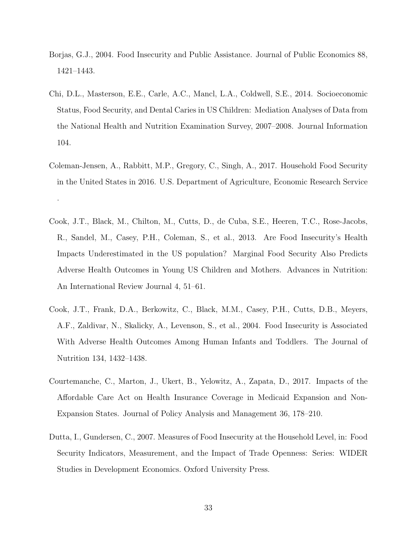- <span id="page-32-5"></span>Borjas, G.J., 2004. Food Insecurity and Public Assistance. Journal of Public Economics 88, 1421–1443.
- <span id="page-32-3"></span>Chi, D.L., Masterson, E.E., Carle, A.C., Mancl, L.A., Coldwell, S.E., 2014. Socioeconomic Status, Food Security, and Dental Caries in US Children: Mediation Analyses of Data from the National Health and Nutrition Examination Survey, 2007–2008. Journal Information 104.
- <span id="page-32-0"></span>Coleman-Jensen, A., Rabbitt, M.P., Gregory, C., Singh, A., 2017. Household Food Security in the United States in 2016. U.S. Department of Agriculture, Economic Research Service .
- <span id="page-32-1"></span>Cook, J.T., Black, M., Chilton, M., Cutts, D., de Cuba, S.E., Heeren, T.C., Rose-Jacobs, R., Sandel, M., Casey, P.H., Coleman, S., et al., 2013. Are Food Insecurity's Health Impacts Underestimated in the US population? Marginal Food Security Also Predicts Adverse Health Outcomes in Young US Children and Mothers. Advances in Nutrition: An International Review Journal 4, 51–61.
- <span id="page-32-2"></span>Cook, J.T., Frank, D.A., Berkowitz, C., Black, M.M., Casey, P.H., Cutts, D.B., Meyers, A.F., Zaldivar, N., Skalicky, A., Levenson, S., et al., 2004. Food Insecurity is Associated With Adverse Health Outcomes Among Human Infants and Toddlers. The Journal of Nutrition 134, 1432–1438.
- <span id="page-32-4"></span>Courtemanche, C., Marton, J., Ukert, B., Yelowitz, A., Zapata, D., 2017. Impacts of the Affordable Care Act on Health Insurance Coverage in Medicaid Expansion and Non-Expansion States. Journal of Policy Analysis and Management 36, 178–210.
- <span id="page-32-6"></span>Dutta, I., Gundersen, C., 2007. Measures of Food Insecurity at the Household Level, in: Food Security Indicators, Measurement, and the Impact of Trade Openness: Series: WIDER Studies in Development Economics. Oxford University Press.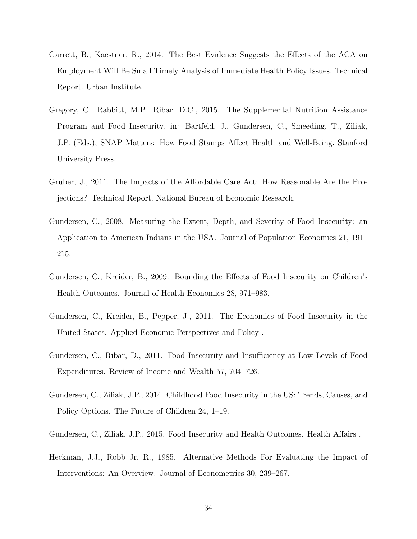- <span id="page-33-5"></span>Garrett, B., Kaestner, R., 2014. The Best Evidence Suggests the Effects of the ACA on Employment Will Be Small Timely Analysis of Immediate Health Policy Issues. Technical Report. Urban Institute.
- <span id="page-33-4"></span>Gregory, C., Rabbitt, M.P., Ribar, D.C., 2015. The Supplemental Nutrition Assistance Program and Food Insecurity, in: Bartfeld, J., Gundersen, C., Smeeding, T., Ziliak, J.P. (Eds.), SNAP Matters: How Food Stamps Affect Health and Well-Being. Stanford University Press.
- <span id="page-33-9"></span>Gruber, J., 2011. The Impacts of the Affordable Care Act: How Reasonable Are the Projections? Technical Report. National Bureau of Economic Research.
- <span id="page-33-8"></span>Gundersen, C., 2008. Measuring the Extent, Depth, and Severity of Food Insecurity: an Application to American Indians in the USA. Journal of Population Economics 21, 191– 215.
- <span id="page-33-1"></span>Gundersen, C., Kreider, B., 2009. Bounding the Effects of Food Insecurity on Children's Health Outcomes. Journal of Health Economics 28, 971–983.
- <span id="page-33-0"></span>Gundersen, C., Kreider, B., Pepper, J., 2011. The Economics of Food Insecurity in the United States. Applied Economic Perspectives and Policy .
- <span id="page-33-6"></span>Gundersen, C., Ribar, D., 2011. Food Insecurity and Insufficiency at Low Levels of Food Expenditures. Review of Income and Wealth 57, 704–726.
- <span id="page-33-2"></span>Gundersen, C., Ziliak, J.P., 2014. Childhood Food Insecurity in the US: Trends, Causes, and Policy Options. The Future of Children 24, 1–19.
- <span id="page-33-3"></span>Gundersen, C., Ziliak, J.P., 2015. Food Insecurity and Health Outcomes. Health Affairs .
- <span id="page-33-7"></span>Heckman, J.J., Robb Jr, R., 1985. Alternative Methods For Evaluating the Impact of Interventions: An Overview. Journal of Econometrics 30, 239–267.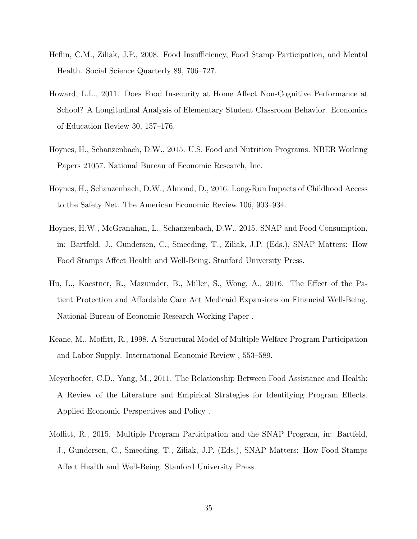- <span id="page-34-0"></span>Heflin, C.M., Ziliak, J.P., 2008. Food Insufficiency, Food Stamp Participation, and Mental Health. Social Science Quarterly 89, 706–727.
- <span id="page-34-2"></span>Howard, L.L., 2011. Does Food Insecurity at Home Affect Non-Cognitive Performance at School? A Longitudinal Analysis of Elementary Student Classroom Behavior. Economics of Education Review 30, 157–176.
- <span id="page-34-7"></span>Hoynes, H., Schanzenbach, D.W., 2015. U.S. Food and Nutrition Programs. NBER Working Papers 21057. National Bureau of Economic Research, Inc.
- <span id="page-34-6"></span>Hoynes, H., Schanzenbach, D.W., Almond, D., 2016. Long-Run Impacts of Childhood Access to the Safety Net. The American Economic Review 106, 903–934.
- <span id="page-34-5"></span>Hoynes, H.W., McGranahan, L., Schanzenbach, D.W., 2015. SNAP and Food Consumption, in: Bartfeld, J., Gundersen, C., Smeeding, T., Ziliak, J.P. (Eds.), SNAP Matters: How Food Stamps Affect Health and Well-Being. Stanford University Press.
- <span id="page-34-4"></span>Hu, L., Kaestner, R., Mazumder, B., Miller, S., Wong, A., 2016. The Effect of the Patient Protection and Affordable Care Act Medicaid Expansions on Financial Well-Being. National Bureau of Economic Research Working Paper .
- <span id="page-34-8"></span>Keane, M., Moffitt, R., 1998. A Structural Model of Multiple Welfare Program Participation and Labor Supply. International Economic Review , 553–589.
- <span id="page-34-1"></span>Meyerhoefer, C.D., Yang, M., 2011. The Relationship Between Food Assistance and Health: A Review of the Literature and Empirical Strategies for Identifying Program Effects. Applied Economic Perspectives and Policy .
- <span id="page-34-3"></span>Moffitt, R., 2015. Multiple Program Participation and the SNAP Program, in: Bartfeld, J., Gundersen, C., Smeeding, T., Ziliak, J.P. (Eds.), SNAP Matters: How Food Stamps Affect Health and Well-Being. Stanford University Press.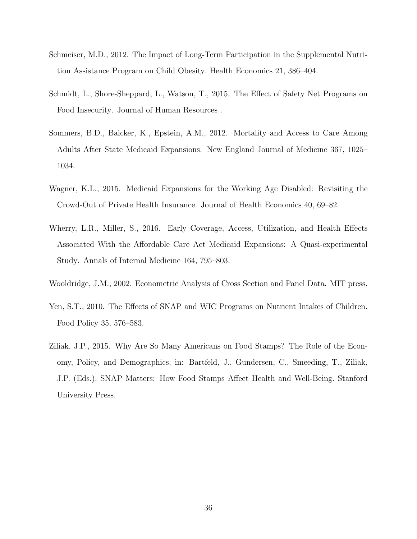- <span id="page-35-6"></span>Schmeiser, M.D., 2012. The Impact of Long-Term Participation in the Supplemental Nutrition Assistance Program on Child Obesity. Health Economics 21, 386–404.
- <span id="page-35-3"></span>Schmidt, L., Shore-Sheppard, L., Watson, T., 2015. The Effect of Safety Net Programs on Food Insecurity. Journal of Human Resources .
- <span id="page-35-1"></span>Sommers, B.D., Baicker, K., Epstein, A.M., 2012. Mortality and Access to Care Among Adults After State Medicaid Expansions. New England Journal of Medicine 367, 1025– 1034.
- <span id="page-35-0"></span>Wagner, K.L., 2015. Medicaid Expansions for the Working Age Disabled: Revisiting the Crowd-Out of Private Health Insurance. Journal of Health Economics 40, 69–82.
- <span id="page-35-2"></span>Wherry, L.R., Miller, S., 2016. Early Coverage, Access, Utilization, and Health Effects Associated With the Affordable Care Act Medicaid Expansions: A Quasi-experimental Study. Annals of Internal Medicine 164, 795–803.
- <span id="page-35-7"></span>Wooldridge, J.M., 2002. Econometric Analysis of Cross Section and Panel Data. MIT press.
- <span id="page-35-4"></span>Yen, S.T., 2010. The Effects of SNAP and WIC Programs on Nutrient Intakes of Children. Food Policy 35, 576–583.
- <span id="page-35-5"></span>Ziliak, J.P., 2015. Why Are So Many Americans on Food Stamps? The Role of the Economy, Policy, and Demographics, in: Bartfeld, J., Gundersen, C., Smeeding, T., Ziliak, J.P. (Eds.), SNAP Matters: How Food Stamps Affect Health and Well-Being. Stanford University Press.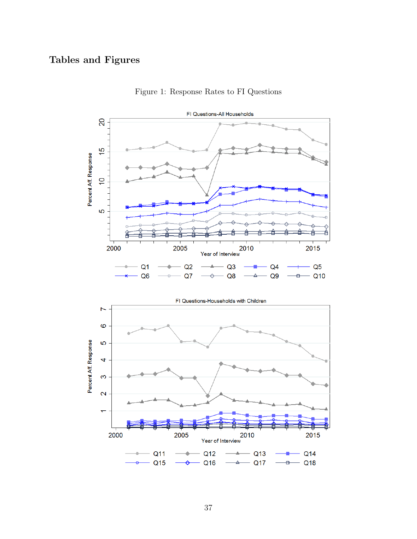# <span id="page-36-0"></span>Tables and Figures



Figure 1: Response Rates to FI Questions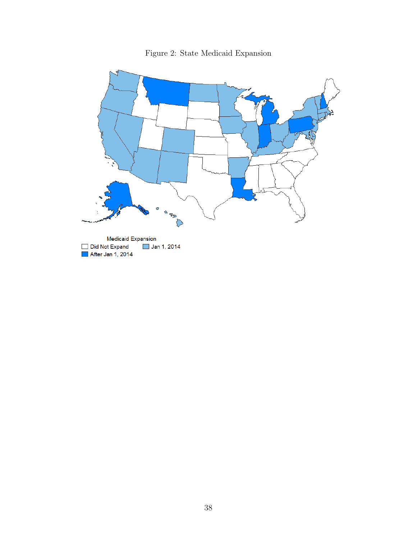<span id="page-37-0"></span>

Figure 2: State Medicaid Expansion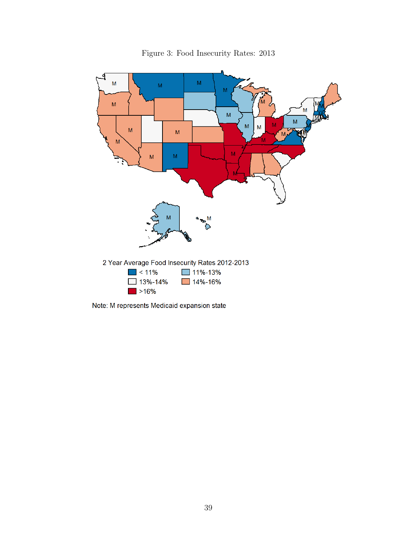<span id="page-38-0"></span>

Figure 3: Food Insecurity Rates: 2013

Note: M represents Medicaid expansion state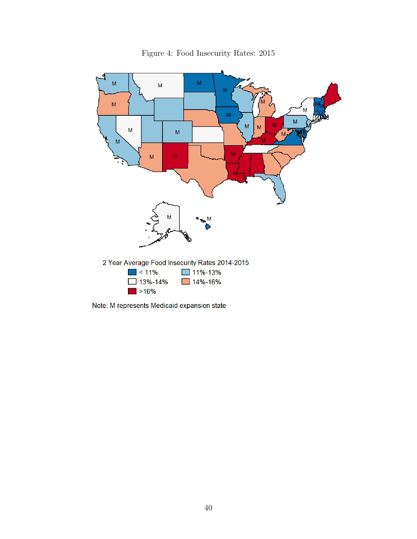

Figure 4: Food Insecurity Rates: 2015

Note: M represents Medicaid expansion state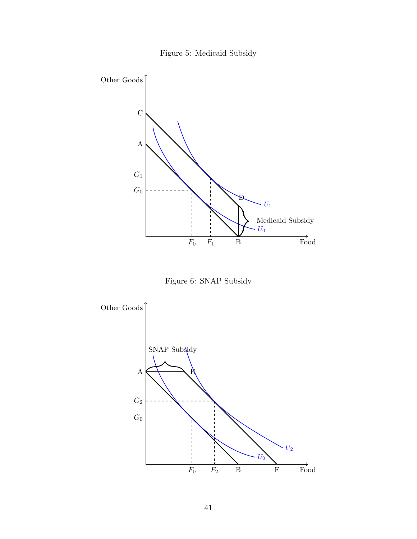

<span id="page-40-0"></span>

Figure 6: SNAP Subsidy

<span id="page-40-1"></span>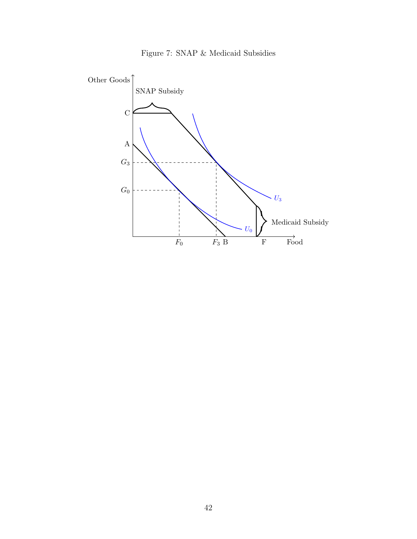

<span id="page-41-0"></span>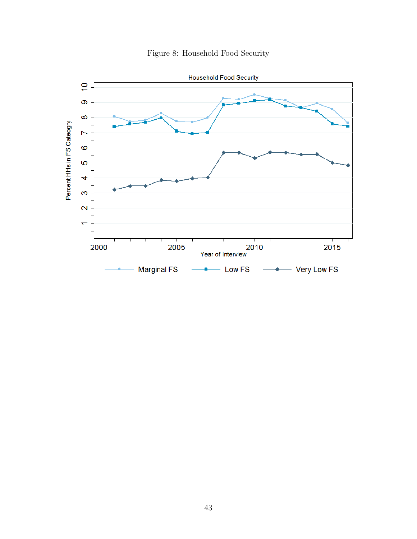<span id="page-42-0"></span>

Figure 8: Household Food Security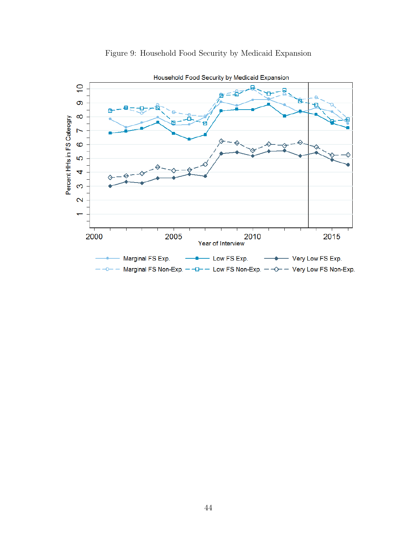<span id="page-43-0"></span>

# Figure 9: Household Food Security by Medicaid Expansion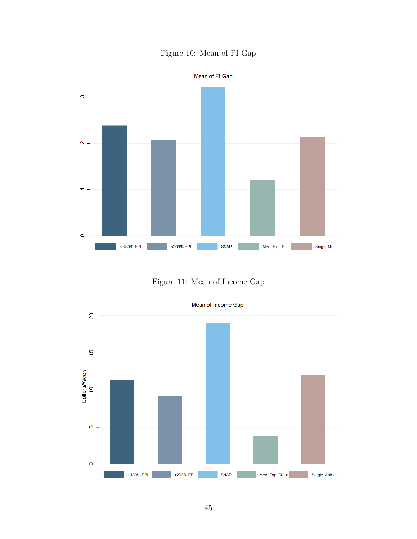# Figure 10: Mean of FI Gap

<span id="page-44-0"></span>

Figure 11: Mean of Income Gap

<span id="page-44-1"></span>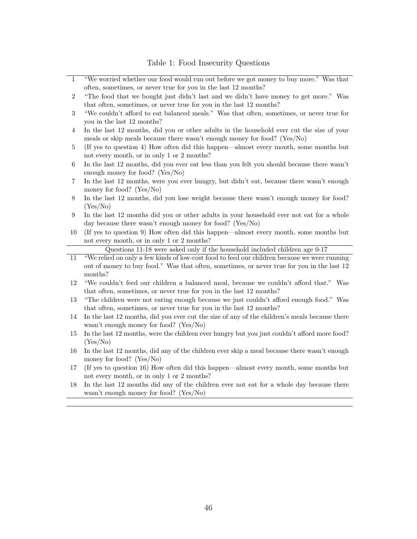<span id="page-45-0"></span>

| $\mathbf{1}$     | "We worried whether our food would run out before we got money to buy more." Was that                                                                                                                 |
|------------------|-------------------------------------------------------------------------------------------------------------------------------------------------------------------------------------------------------|
|                  | often, sometimes, or never true for you in the last 12 months?                                                                                                                                        |
| $\sqrt{2}$       | "The food that we bought just didn't last and we didn't have money to get more." Was<br>that often, sometimes, or never true for you in the last 12 months?                                           |
| $\sqrt{3}$       | "We couldn't afford to eat balanced meals." Was that often, sometimes, or never true for<br>you in the last 12 months?                                                                                |
| $\overline{4}$   | In the last 12 months, did you or other adults in the household ever cut the size of your<br>meals or skip meals because there wasn't enough money for food? (Yes/No)                                 |
| 5                | (If yes to question 4) How often did this happen—almost every month, some months but<br>not every month, or in only 1 or 2 months?                                                                    |
| $\,6\,$          | In the last 12 months, did you ever eat less than you felt you should because there wasn't<br>enough money for food? (Yes/No)                                                                         |
| 7                | In the last 12 months, were you ever hungry, but didn't eat, because there wasn't enough<br>money for food? $(Yes/No)$                                                                                |
| $8\,$            | In the last 12 months, did you lose weight because there wasn't enough money for food?<br>(Yes/No)                                                                                                    |
| $\boldsymbol{9}$ | In the last 12 months did you or other adults in your household ever not eat for a whole<br>day because there wasn't enough money for food? (Yes/No)                                                  |
| 10               | (If yes to question 9) How often did this happen—almost every month, some months but<br>not every month, or in only 1 or 2 months?                                                                    |
|                  | Questions 11-18 were asked only if the household included children age 0-17                                                                                                                           |
| $11\,$           | "We relied on only a few kinds of low-cost food to feed our children because we were running<br>out of money to buy food." Was that often, sometimes, or never true for you in the last 12<br>months? |
| 12               | "We couldn't feed our children a balanced meal, because we couldn't afford that." Was<br>that often, sometimes, or never true for you in the last 12 months?                                          |
| 13               | "The children were not eating enough because we just couldn't afford enough food." Was<br>that often, sometimes, or never true for you in the last 12 months?                                         |
| 14               | In the last 12 months, did you ever cut the size of any of the children's meals because there<br>wasn't enough money for food? (Yes/No)                                                               |
| $15\,$           | In the last 12 months, were the children ever hungry but you just couldn't afford more food?<br>(Yes/No)                                                                                              |
| 16               | In the last 12 months, did any of the children ever skip a meal because there wasn't enough<br>money for food? (Yes/No)                                                                               |
| 17               | (If yes to question 16) How often did this happen—almost every month, some months but<br>not every month, or in only 1 or 2 months?                                                                   |
| 18               | In the last 12 months did any of the children ever not eat for a whole day because there<br>wasn't enough money for food? (Yes/No)                                                                    |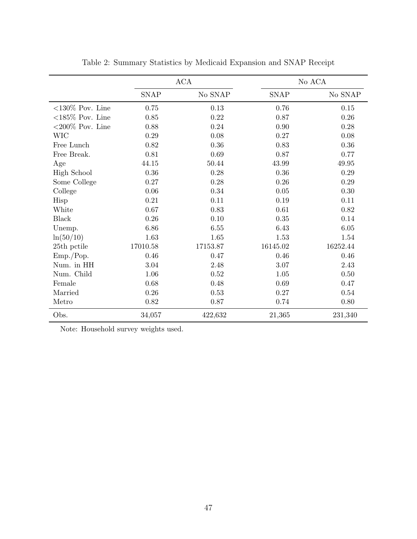<span id="page-46-0"></span>

|                     |             | ACA      |             | No ACA   |
|---------------------|-------------|----------|-------------|----------|
|                     | <b>SNAP</b> | No SNAP  | <b>SNAP</b> | No SNAP  |
| $< 130\%$ Pov. Line | 0.75        | 0.13     | 0.76        | 0.15     |
| $<185\%$ Pov. Line  | 0.85        | 0.22     | 0.87        | 0.26     |
| $< 200\%$ Pov. Line | 0.88        | 0.24     | 0.90        | 0.28     |
| <b>WIC</b>          | 0.29        | $0.08\,$ | 0.27        | 0.08     |
| Free Lunch          | 0.82        | 0.36     | 0.83        | 0.36     |
| Free Break.         | 0.81        | 0.69     | 0.87        | 0.77     |
| Age                 | 44.15       | 50.44    | 43.99       | 49.95    |
| <b>High School</b>  | $0.36\,$    | 0.28     | 0.36        | 0.29     |
| Some College        | 0.27        | 0.28     | 0.26        | 0.29     |
| College             | 0.06        | 0.34     | 0.05        | 0.30     |
| Hisp                | 0.21        | 0.11     | 0.19        | 0.11     |
| White               | 0.67        | 0.83     | 0.61        | 0.82     |
| <b>Black</b>        | $0.26\,$    | 0.10     | 0.35        | 0.14     |
| Unemp.              | 6.86        | 6.55     | 6.43        | 6.05     |
| ln(50/10)           | 1.63        | 1.65     | 1.53        | 1.54     |
| 25th pctile         | 17010.58    | 17153.87 | 16145.02    | 16252.44 |
| Emp./Pop.           | 0.46        | 0.47     | 0.46        | 0.46     |
| Num. in HH          | $3.04\,$    | 2.48     | 3.07        | 2.43     |
| Num. Child          | 1.06        | 0.52     | 1.05        | 0.50     |
| Female              | 0.68        | 0.48     | 0.69        | 0.47     |
| Married             | 0.26        | 0.53     | 0.27        | 0.54     |
| Metro               | 0.82        | 0.87     | 0.74        | 0.80     |
| Obs.                | 34,057      | 422,632  | 21,365      | 231,340  |

Table 2: Summary Statistics by Medicaid Expansion and SNAP Receipt

Note: Household survey weights used.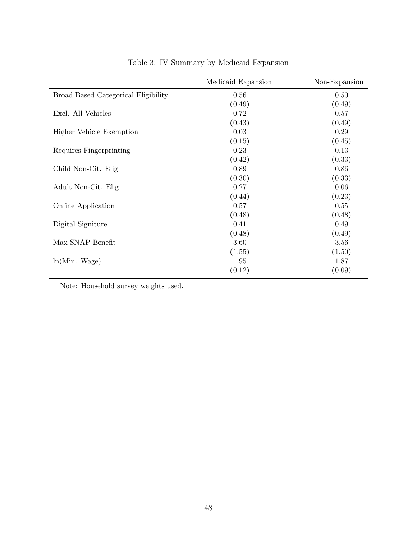<span id="page-47-0"></span>

|                                     | Medicaid Expansion | Non-Expansion |
|-------------------------------------|--------------------|---------------|
| Broad Based Categorical Eligibility | 0.56               | 0.50          |
|                                     | (0.49)             | (0.49)        |
| Excl. All Vehicles                  | 0.72               | 0.57          |
|                                     | (0.43)             | (0.49)        |
| Higher Vehicle Exemption            | 0.03               | 0.29          |
|                                     | (0.15)             | (0.45)        |
| Requires Fingerprinting             | 0.23               | 0.13          |
|                                     | (0.42)             | (0.33)        |
| Child Non-Cit. Elig                 | 0.89               | 0.86          |
|                                     | (0.30)             | (0.33)        |
| Adult Non-Cit. Elig                 | 0.27               | 0.06          |
|                                     | (0.44)             | (0.23)        |
| Online Application                  | 0.57               | 0.55          |
|                                     | (0.48)             | (0.48)        |
| Digital Signiture                   | 0.41               | 0.49          |
|                                     | (0.48)             | (0.49)        |
| Max SNAP Benefit                    | 3.60               | 3.56          |
|                                     | (1.55)             | (1.50)        |
| ln(Min. Wage)                       | 1.95               | 1.87          |
|                                     | (0.12)             | (0.09)        |

Table 3: IV Summary by Medicaid Expansion

Note: Household survey weights used.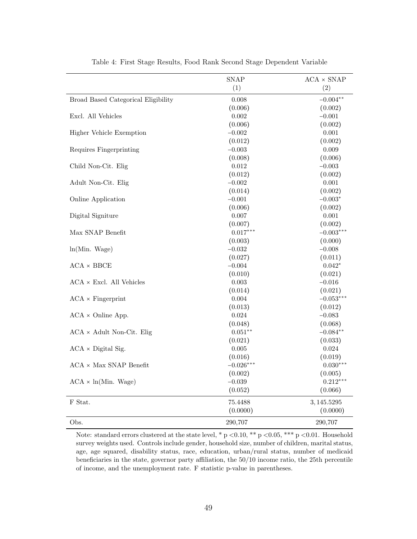<span id="page-48-0"></span>

|                                             | SNAP        | $\text{ACA} \times \text{SNAP}$ |
|---------------------------------------------|-------------|---------------------------------|
|                                             | (1)         | (2)                             |
| Broad Based Categorical Eligibility         | 0.008       | $-0.004**$                      |
|                                             | (0.006)     | (0.002)                         |
| Excl. All Vehicles                          | $0.002\,$   | $-0.001$                        |
|                                             | (0.006)     | (0.002)                         |
| Higher Vehicle Exemption                    | $-0.002$    | 0.001                           |
|                                             | (0.012)     | (0.002)                         |
| Requires Fingerprinting                     | $-0.003$    | $0.009\,$                       |
|                                             | (0.008)     | (0.006)                         |
| Child Non-Cit. Elig                         | 0.012       | $-0.003$                        |
|                                             | (0.012)     | (0.002)                         |
| Adult Non-Cit. Elig                         | $-0.002$    | 0.001                           |
|                                             | (0.014)     | (0.002)                         |
| Online Application                          | $-0.001$    | $-0.003*$                       |
|                                             | (0.006)     | (0.002)                         |
| Digital Signiture                           | $0.007\,$   | $0.001\,$                       |
|                                             | (0.007)     | (0.002)                         |
| Max SNAP Benefit                            | $0.017***$  | $-0.003***$                     |
|                                             | (0.003)     | (0.000)                         |
| ln(Min. Wage)                               | $-0.032$    | $-0.008$                        |
|                                             | (0.027)     | (0.011)                         |
| $\text{ACA} \times \text{BBCE}$             | $-0.004$    | $0.042*$                        |
|                                             | (0.010)     | (0.021)                         |
| $\text{ACA}\times\text{Excl.}$ All Vehicles | 0.003       | $-0.016$                        |
|                                             | (0.014)     | (0.021)                         |
| $ACA \times \text{Fingerprint}$             | $0.004\,$   | $-0.053***$                     |
|                                             | (0.013)     | (0.012)                         |
| $ACA \times Online$ App.                    | 0.024       | $-0.083$                        |
|                                             | (0.048)     | (0.068)                         |
| $ACA \times$ Adult Non-Cit. Elig            | $0.051**$   | $-0.084**$                      |
|                                             | (0.021)     | (0.033)                         |
| $ACA \times Digital Sig.$                   | 0.005       | $\,0.024\,$                     |
|                                             | (0.016)     | (0.019)                         |
| $\text{ACA}$ $\times$ Max SNAP Benefit      | $-0.026***$ | $0.030***$                      |
|                                             | (0.002)     | (0.005)                         |
| $ACA \times ln(Min. Wage)$                  | $-0.039$    | $0.212***$                      |
|                                             | (0.052)     | (0.066)                         |
| F Stat.                                     | 75.4488     | 3, 145.5295                     |
|                                             | (0.0000)    | (0.0000)                        |
| Obs.                                        | 290,707     | 290,707                         |

Table 4: First Stage Results, Food Rank Second Stage Dependent Variable

Note: standard errors clustered at the state level, \* p <0.10, \*\* p <0.05, \*\*\* p <0.01. Household survey weights used. Controls include gender, household size, number of children, marital status, age, age squared, disability status, race, education, urban/rural status, number of medicaid beneficiaries in the state, governor party affiliation, the 50/10 income ratio, the 25th percentile of income, and the unemployment rate. F statistic p-value in parentheses.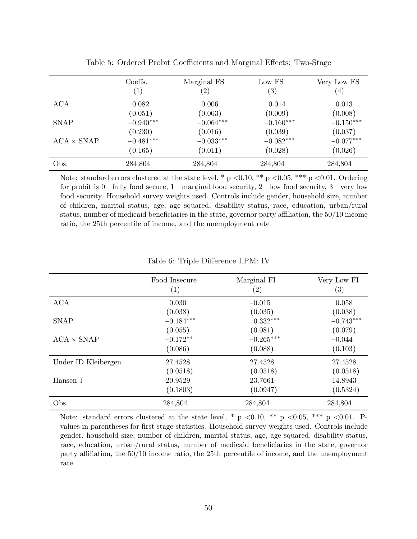<span id="page-49-0"></span>

|                   | Coeffs.<br>$\left( 1\right)$ | Marginal FS<br>$\left( 2\right)$ | Low FS<br>$\left( 3\right)$ | Very Low FS<br>$\left( 4\right)$ |
|-------------------|------------------------------|----------------------------------|-----------------------------|----------------------------------|
| <b>ACA</b>        | 0.082                        | 0.006                            | 0.014                       | 0.013                            |
|                   | (0.051)                      | (0.003)                          | (0.009)                     | (0.008)                          |
| <b>SNAP</b>       | $-0.940***$                  | $-0.064***$                      | $-0.160***$                 | $-0.150***$                      |
|                   | (0.230)                      | (0.016)                          | (0.039)                     | (0.037)                          |
| $ACA \times SNAP$ | $-0.481***$                  | $-0.033***$                      | $-0.082***$                 | $-0.077***$                      |
|                   | (0.165)                      | (0.011)                          | (0.028)                     | (0.026)                          |
| Obs.              | 284,804                      | 284,804                          | 284,804                     | 284,804                          |

Table 5: Ordered Probit Coefficients and Marginal Effects: Two-Stage

Note: standard errors clustered at the state level, \*  $p \le 0.10$ , \*\* p  $\le 0.05$ , \*\*\* p  $\le 0.01$ . Ordering for probit is 0—fully food secure, 1—marginal food security, 2—low food security, 3—very low food security. Household survey weights used. Controls include gender, household size, number of children, marital status, age, age squared, disability status, race, education, urban/rural status, number of medicaid beneficiaries in the state, governor party affiliation, the 50/10 income ratio, the 25th percentile of income, and the unemployment rate

<span id="page-49-1"></span>

|                     | Food Insecure<br>$\left( 1\right)$ | Marginal FI<br>(2) | Very Low FI<br>(3) |
|---------------------|------------------------------------|--------------------|--------------------|
| <b>ACA</b>          | 0.030                              | $-0.015$           | 0.058              |
|                     | (0.038)                            | (0.035)            | (0.038)            |
| <b>SNAP</b>         | $-0.184***$                        | $0.332***$         | $-0.743***$        |
|                     | (0.055)                            | (0.081)            | (0.079)            |
| $ACA \times SNAP$   | $-0.172**$                         | $-0.265***$        | $-0.044$           |
|                     | (0.086)                            | (0.088)            | (0.103)            |
| Under ID Kleibergen | 27.4528                            | 27.4528            | 27.4528            |
|                     | (0.0518)                           | (0.0518)           | (0.0518)           |
| Hansen J            | 20.9529                            | 23.7661            | 14.8943            |
|                     | (0.1803)                           | (0.0947)           | (0.5324)           |
| Obs.                | 284,804                            | 284,804            | 284,804            |

Table 6: Triple Difference LPM: IV

Note: standard errors clustered at the state level, \* p <0.10, \*\* p <0.05, \*\*\* p <0.01. Pvalues in parentheses for first stage statistics. Household survey weights used. Controls include gender, household size, number of children, marital status, age, age squared, disability status, race, education, urban/rural status, number of medicaid beneficiaries in the state, governor party affiliation, the 50/10 income ratio, the 25th percentile of income, and the unemployment rate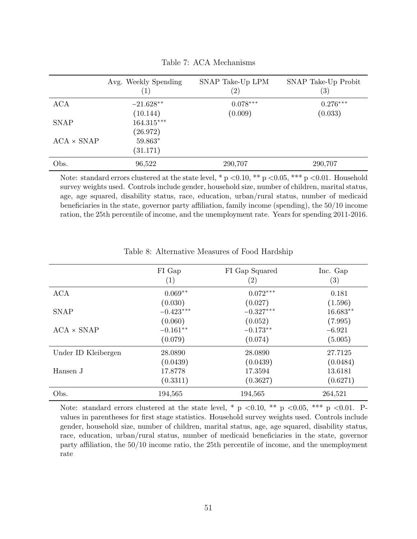<span id="page-50-0"></span>

|                   | Avg. Weekly Spending<br>$\left( 1\right)$ | SNAP Take-Up LPM<br>$\left( 2\right)$ | SNAP Take-Up Probit<br>(3) |
|-------------------|-------------------------------------------|---------------------------------------|----------------------------|
| <b>ACA</b>        | $-21.628**$                               | $0.078***$                            | $0.276***$                 |
|                   | (10.144)                                  | (0.009)                               | (0.033)                    |
| <b>SNAP</b>       | $164.315***$                              |                                       |                            |
|                   | (26.972)                                  |                                       |                            |
| $ACA \times SNAP$ | $59.863*$                                 |                                       |                            |
|                   | (31.171)                                  |                                       |                            |
| Obs.              | 96,522                                    | 290,707                               | 290,707                    |

Table 7: ACA Mechanisms

Note: standard errors clustered at the state level, \*  $p < 0.10$ , \*\*  $p < 0.05$ , \*\*\*  $p < 0.01$ . Household survey weights used. Controls include gender, household size, number of children, marital status, age, age squared, disability status, race, education, urban/rural status, number of medicaid beneficiaries in the state, governor party affiliation, family income (spending), the 50/10 income ration, the 25th percentile of income, and the unemployment rate. Years for spending 2011-2016.

<span id="page-50-1"></span>

|                     | FI Gap<br>(1) | FI Gap Squared<br>$\left( 2\right)$ | Inc. Gap<br>$\left( 3\right)$ |
|---------------------|---------------|-------------------------------------|-------------------------------|
| ACA                 | $0.069**$     | $0.072***$                          | 0.181                         |
|                     | (0.030)       | (0.027)                             | (1.596)                       |
| <b>SNAP</b>         | $-0.423***$   | $-0.327***$                         | $16.683**$                    |
|                     | (0.060)       | (0.052)                             | (7.995)                       |
| $ACA \times SNAP$   | $-0.161**$    | $-0.173**$                          | $-6.921$                      |
|                     | (0.079)       | (0.074)                             | (5.005)                       |
| Under ID Kleibergen | 28.0890       | 28.0890                             | 27.7125                       |
|                     | (0.0439)      | (0.0439)                            | (0.0484)                      |
| Hansen J            | 17.8778       | 17.3594                             | 13.6181                       |
|                     | (0.3311)      | (0.3627)                            | (0.6271)                      |
| Obs.                | 194,565       | 194,565                             | 264,521                       |

Table 8: Alternative Measures of Food Hardship

Note: standard errors clustered at the state level, \* p <0.10, \*\* p <0.05, \*\*\* p <0.01. Pvalues in parentheses for first stage statistics. Household survey weights used. Controls include gender, household size, number of children, marital status, age, age squared, disability status, race, education, urban/rural status, number of medicaid beneficiaries in the state, governor party affiliation, the 50/10 income ratio, the 25th percentile of income, and the unemployment rate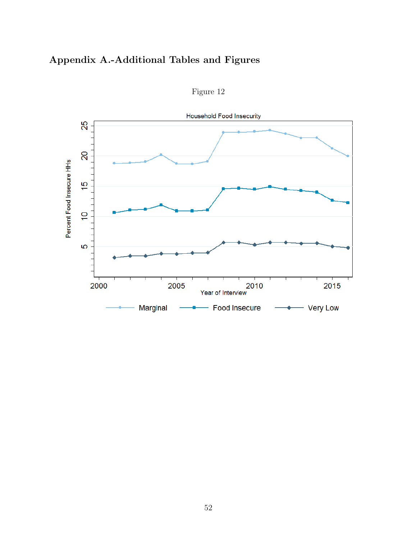# Appendix A.-Additional Tables and Figures

<span id="page-51-0"></span>

Figure 12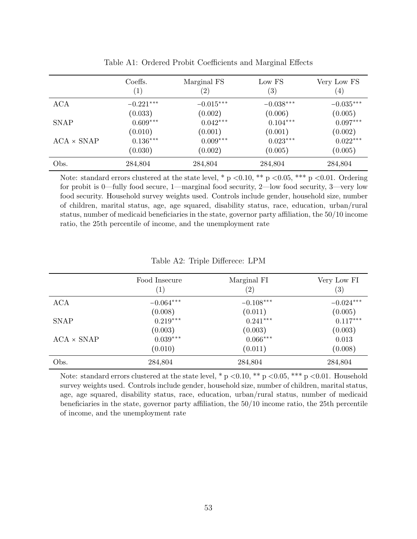<span id="page-52-0"></span>

|                   | Coeffs.<br>$\left( 1\right)$ | Marginal FS<br>$\left( 2\right)$ | Low FS<br>$^{\prime}3)$ | Very Low FS<br>$\left(4\right)$ |
|-------------------|------------------------------|----------------------------------|-------------------------|---------------------------------|
| <b>ACA</b>        | $-0.221***$                  | $-0.015***$                      | $-0.038***$             | $-0.035***$                     |
|                   | (0.033)                      | (0.002)                          | (0.006)                 | (0.005)                         |
| <b>SNAP</b>       | $0.609***$                   | $0.042***$                       | $0.104***$              | $0.097***$                      |
|                   | (0.010)                      | (0.001)                          | (0.001)                 | (0.002)                         |
| $ACA \times SNAP$ | $0.136***$                   | $0.009***$                       | $0.023***$              | $0.022***$                      |
|                   | (0.030)                      | (0.002)                          | (0.005)                 | (0.005)                         |
| Obs.              | 284,804                      | 284,804                          | 284,804                 | 284,804                         |

Table A1: Ordered Probit Coefficients and Marginal Effects

Note: standard errors clustered at the state level, \*  $p \le 0.10$ , \*\* p  $\le 0.05$ , \*\*\* p  $\le 0.01$ . Ordering for probit is 0—fully food secure, 1—marginal food security, 2—low food security, 3—very low food security. Household survey weights used. Controls include gender, household size, number of children, marital status, age, age squared, disability status, race, education, urban/rural status, number of medicaid beneficiaries in the state, governor party affiliation, the 50/10 income ratio, the 25th percentile of income, and the unemployment rate

| Table A2: Triple Differece: LPM |  |  |  |
|---------------------------------|--|--|--|
|---------------------------------|--|--|--|

<span id="page-52-1"></span>

|                   | Food Insecure<br>$\left( 1\right)$ | Marginal FI<br>$\left( 2\right)$ | Very Low FI<br>$\left( 3\right)$ |
|-------------------|------------------------------------|----------------------------------|----------------------------------|
| <b>ACA</b>        | $-0.064***$                        | $-0.108***$                      | $-0.024***$                      |
|                   | (0.008)                            | (0.011)                          | (0.005)                          |
| <b>SNAP</b>       | $0.219***$                         | $0.241***$                       | $0.117***$                       |
|                   | (0.003)                            | (0.003)                          | (0.003)                          |
| $ACA \times SNAP$ | $0.039***$                         | $0.066***$                       | 0.013                            |
|                   | (0.010)                            | (0.011)                          | (0.008)                          |
| Obs.              | 284,804                            | 284,804                          | 284,804                          |

Note: standard errors clustered at the state level, \*  $p \le 0.10$ , \*\*  $p \le 0.05$ , \*\*\*  $p \le 0.01$ . Household survey weights used. Controls include gender, household size, number of children, marital status, age, age squared, disability status, race, education, urban/rural status, number of medicaid beneficiaries in the state, governor party affiliation, the 50/10 income ratio, the 25th percentile of income, and the unemployment rate